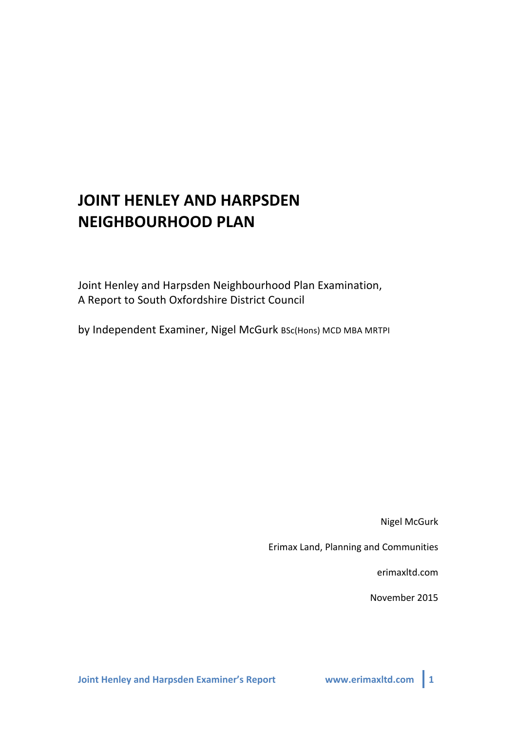# **JOINT HENLEY AND HARPSDEN NEIGHBOURHOOD PLAN**

Joint Henley and Harpsden Neighbourhood Plan Examination, A Report to South Oxfordshire District Council

by Independent Examiner, Nigel McGurk BSc(Hons) MCD MBA MRTPI

**Nigel McGurk** 

Erimax Land, Planning and Communities

erimaxltd.com

November 2015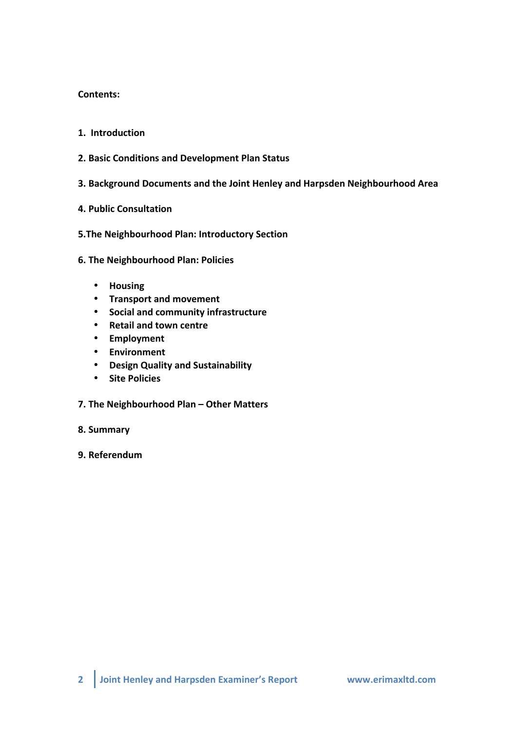#### **Contents:**

- **1.** Introduction
- **2. Basic&Conditions and&Development&Plan&Status**
- **3. Background&Documents and the&Joint&Henley&and&Harpsden Neighbourhood&Area**
- **4. Public&Consultation**
- **5.The Neighbourhood Plan: Introductory Section**
- **6. The Neighbourhood Plan: Policies** 
	- **Housing**
	- **Transport and&movement**
	- **Social&and&community infrastructure**
	- **•** Retail and town centre
	- **Employment**
	- **Environment**
	- **Design&Quality&and&Sustainability**
	- **•** Site Policies
- **7.** The Neighbourhood Plan Other Matters
- 8. Summary
- **9. Referendum**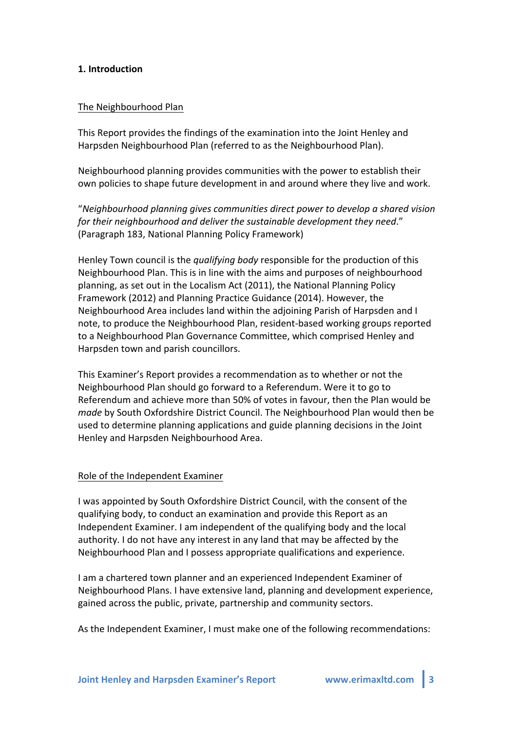#### **1. Introduction&**

#### The Neighbourhood Plan

This Report provides the findings of the examination into the Joint Henley and Harpsden Neighbourhood Plan (referred to as the Neighbourhood Plan).

Neighbourhood planning provides communities with the power to establish their own policies to shape future development in and around where they live and work.

"*Neighbourhood+planning+gives+communities+direct+power+to+develop+a+shared+vision+* for their neighbourhood and deliver the sustainable development they need." (Paragraph 183, National Planning Policy Framework)

Henley Town council is the *qualifying body* responsible for the production of this Neighbourhood Plan. This is in line with the aims and purposes of neighbourhood planning, as set out in the Localism Act (2011), the National Planning Policy Framework (2012) and Planning Practice Guidance (2014). However, the Neighbourhood Area includes land within the adjoining Parish of Harpsden and I note, to produce the Neighbourhood Plan, resident-based working groups reported to a Neighbourhood Plan Governance Committee, which comprised Henley and Harpsden town and parish councillors.

This Examiner's Report provides a recommendation as to whether or not the Neighbourhood Plan should go forward to a Referendum. Were it to go to Referendum and achieve more than 50% of votes in favour, then the Plan would be *made* by South Oxfordshire District Council. The Neighbourhood Plan would then be used to determine planning applications and guide planning decisions in the Joint Henley and Harpsden Neighbourhood Area.

#### Role of the Independent Examiner

I was appointed by South Oxfordshire District Council, with the consent of the qualifying body, to conduct an examination and provide this Report as an Independent Examiner. I am independent of the qualifying body and the local authority. I do not have any interest in any land that may be affected by the Neighbourhood Plan and I possess appropriate qualifications and experience.

I am a chartered town planner and an experienced Independent Examiner of Neighbourhood Plans. I have extensive land, planning and development experience, gained across the public, private, partnership and community sectors.

As the Independent Examiner, I must make one of the following recommendations: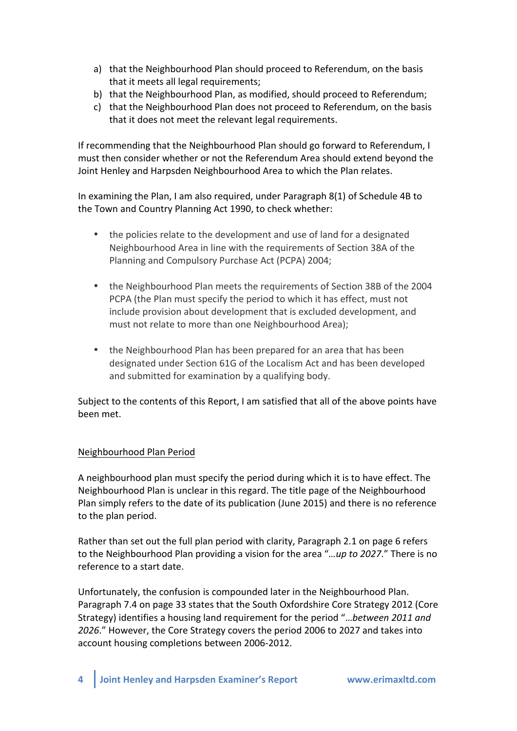- a) that the Neighbourhood Plan should proceed to Referendum, on the basis that it meets all legal requirements;
- b) that the Neighbourhood Plan, as modified, should proceed to Referendum;
- c) that the Neighbourhood Plan does not proceed to Referendum, on the basis that it does not meet the relevant legal requirements.

If recommending that the Neighbourhood Plan should go forward to Referendum, I must then consider whether or not the Referendum Area should extend beyond the Joint Henley and Harpsden Neighbourhood Area to which the Plan relates.

In examining the Plan, I am also required, under Paragraph  $8(1)$  of Schedule 4B to the Town and Country Planning Act 1990, to check whether:

- the policies relate to the development and use of land for a designated Neighbourhood Area in line with the requirements of Section 38A of the Planning and Compulsory Purchase Act (PCPA) 2004;
- the Neighbourhood Plan meets the requirements of Section 38B of the 2004 PCPA (the Plan must specify the period to which it has effect, must not include provision about development that is excluded development, and must not relate to more than one Neighbourhood Area);
- the Neighbourhood Plan has been prepared for an area that has been designated under Section 61G of the Localism Act and has been developed and submitted for examination by a qualifying body.

Subject to the contents of this Report, I am satisfied that all of the above points have been met.

## Neighbourhood Plan Period

A neighbourhood plan must specify the period during which it is to have effect. The Neighbourhood Plan is unclear in this regard. The title page of the Neighbourhood Plan simply refers to the date of its publication (June 2015) and there is no reference to the plan period.

Rather than set out the full plan period with clarity, Paragraph 2.1 on page 6 refers to the Neighbourhood Plan providing a vision for the area "*...up to 2027.*" There is no reference to a start date.

Unfortunately, the confusion is compounded later in the Neighbourhood Plan. Paragraph 7.4 on page 33 states that the South Oxfordshire Core Strategy 2012 (Core Strategy) identifies a housing land requirement for the period "...between 2011 and 2026." However, the Core Strategy covers the period 2006 to 2027 and takes into account housing completions between 2006-2012.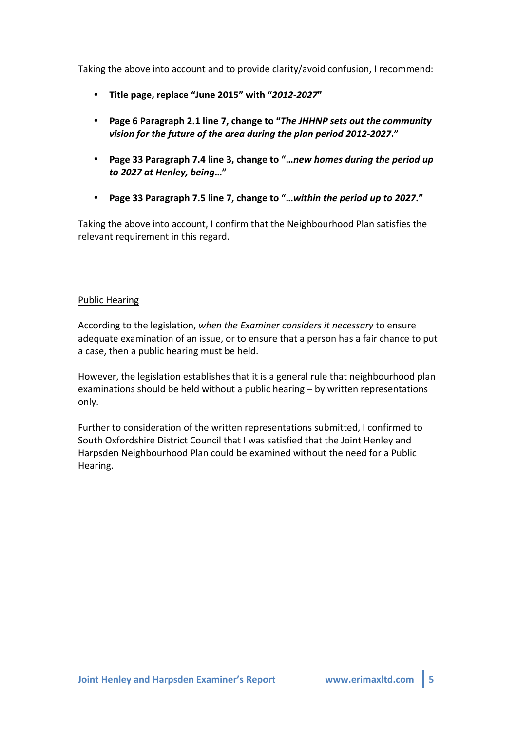Taking the above into account and to provide clarity/avoid confusion, I recommend:

- \* Title page, replace "June 2015" with "2012-2027"
- Page 6 Paragraph 2.1 line 7, change to "The JHHNP sets out the community vision for the future of the area during the plan period 2012-2027."
- **Page 33 Paragraph 7.4 line 3, change to "**...new homes during the period up *to)2027)at)Henley,)being***…"**
- Page 33 Paragraph 7.5 line 7, change to "...within the period up to 2027."

Taking the above into account, I confirm that the Neighbourhood Plan satisfies the relevant requirement in this regard.

## Public Hearing

According to the legislation, *when the Examiner considers it necessary* to ensure adequate examination of an issue, or to ensure that a person has a fair chance to put a case, then a public hearing must be held.

However, the legislation establishes that it is a general rule that neighbourhood plan examinations should be held without a public hearing – by written representations only.

Further to consideration of the written representations submitted, I confirmed to South Oxfordshire District Council that I was satisfied that the Joint Henley and Harpsden Neighbourhood Plan could be examined without the need for a Public Hearing.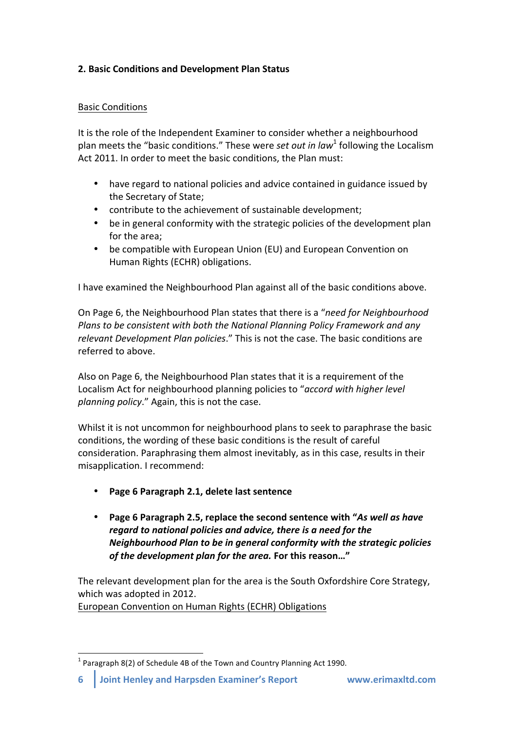# **2. Basic Conditions and Development Plan Status**

## Basic!Conditions

It is the role of the Independent Examiner to consider whether a neighbourhood plan meets the "basic conditions." These were *set out in law*<sup>1</sup> following the Localism Act 2011. In order to meet the basic conditions, the Plan must:

- have regard to national policies and advice contained in guidance issued by the Secretary of State:
- contribute to the achievement of sustainable development;
- be in general conformity with the strategic policies of the development plan for the area:
- be compatible with European Union (EU) and European Convention on Human Rights (ECHR) obligations.

I have examined the Neighbourhood Plan against all of the basic conditions above.

On Page 6, the Neighbourhood Plan states that there is a "*need for Neighbourhood Plans to be consistent with both the National Planning Policy Framework and any relevant Development Plan policies."* This is not the case. The basic conditions are referred to above.

Also on Page 6, the Neighbourhood Plan states that it is a requirement of the Localism Act for neighbourhood planning policies to "*accord with higher level planning policy.*" Again, this is not the case.

Whilst it is not uncommon for neighbourhood plans to seek to paraphrase the basic conditions, the wording of these basic conditions is the result of careful consideration. Paraphrasing them almost inevitably, as in this case, results in their misapplication. I recommend:

- Page 6 Paragraph 2.1, delete last sentence
- Page 6 Paragraph 2.5, replace the second sentence with "As well as have regard to national policies and advice, there is a need for the *Neighbourhood Plan to be in general conformity with the strategic policies of the development plan for the area.* For this reason..."

The relevant development plan for the area is the South Oxfordshire Core Strategy, which was adopted in 2012.

European Convention on Human Rights (ECHR) Obligations

 $1$  Paragraph 8(2) of Schedule 4B of the Town and Country Planning Act 1990.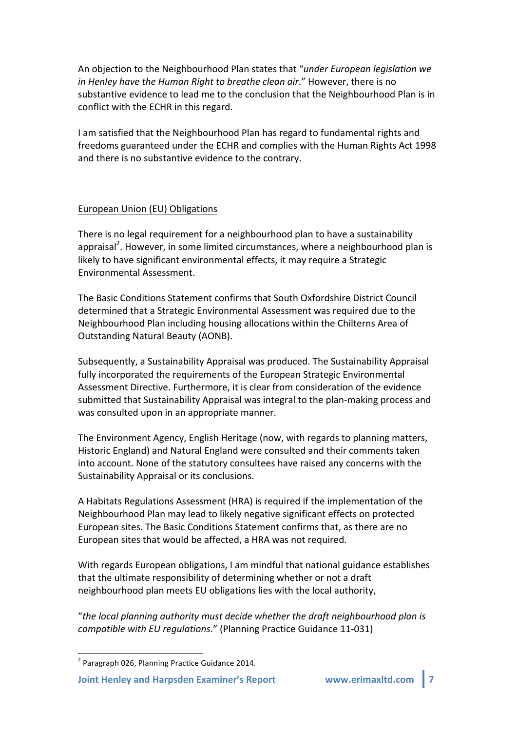An objection to the Neighbourhood Plan states that "*under European legislation we in Henley have the Human Right to breathe clean air."* However, there is no substantive evidence to lead me to the conclusion that the Neighbourhood Plan is in conflict with the ECHR in this regard.

I am satisfied that the Neighbourhood Plan has regard to fundamental rights and freedoms guaranteed under the ECHR and complies with the Human Rights Act 1998 and there is no substantive evidence to the contrary.

#### European Union (EU) Obligations

There is no legal requirement for a neighbourhood plan to have a sustainability appraisal<sup>2</sup>. However, in some limited circumstances, where a neighbourhood plan is likely to have significant environmental effects, it may require a Strategic Environmental!Assessment.!

The Basic Conditions Statement confirms that South Oxfordshire District Council determined that a Strategic Environmental Assessment was required due to the Neighbourhood Plan including housing allocations within the Chilterns Area of Outstanding Natural Beauty (AONB).

Subsequently, a Sustainability Appraisal was produced. The Sustainability Appraisal fully incorporated the requirements of the European Strategic Environmental Assessment Directive. Furthermore, it is clear from consideration of the evidence submitted that Sustainability Appraisal was integral to the plan-making process and was consulted upon in an appropriate manner.

The Environment Agency, English Heritage (now, with regards to planning matters, Historic England) and Natural England were consulted and their comments taken into account. None of the statutory consultees have raised any concerns with the Sustainability Appraisal or its conclusions.

A Habitats Regulations Assessment (HRA) is required if the implementation of the Neighbourhood Plan may lead to likely negative significant effects on protected European sites. The Basic Conditions Statement confirms that, as there are no European sites that would be affected, a HRA was not required.

With regards European obligations, I am mindful that national guidance establishes that the ultimate responsibility of determining whether or not a draft neighbourhood plan meets EU obligations lies with the local authority,

"*the+local+planning+authority+must+decide+whether+the+draft+neighbourhood+plan+is+ compatible with EU regulations."* (Planning Practice Guidance 11-031)

 $2$  Paragraph 026, Planning Practice Guidance 2014.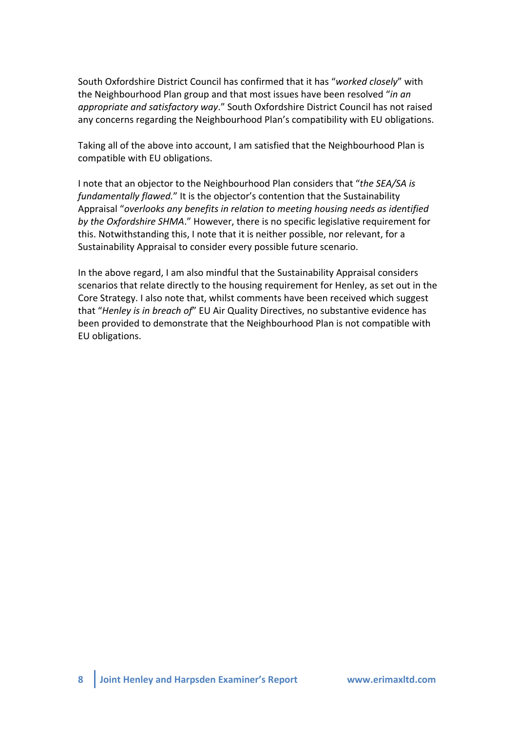South Oxfordshire District Council has confirmed that it has "*worked closely*" with the Neighbourhood Plan group and that most issues have been resolved "*in an* appropriate and satisfactory way." South Oxfordshire District Council has not raised any concerns regarding the Neighbourhood Plan's compatibility with EU obligations.

Taking all of the above into account, I am satisfied that the Neighbourhood Plan is compatible with EU obligations.

I note that an objector to the Neighbourhood Plan considers that "the SEA/SA is *fundamentally flawed.*" It is the objector's contention that the Sustainability Appraisal "overlooks any benefits in relation to meeting housing needs as identified *by the Oxfordshire SHMA.*" However, there is no specific legislative requirement for this. Notwithstanding this, I note that it is neither possible, nor relevant, for a Sustainability Appraisal to consider every possible future scenario.

In the above regard, I am also mindful that the Sustainability Appraisal considers scenarios that relate directly to the housing requirement for Henley, as set out in the Core Strategy. I also note that, whilst comments have been received which suggest that "*Henley is in breach of*" EU Air Quality Directives, no substantive evidence has been provided to demonstrate that the Neighbourhood Plan is not compatible with EU obligations.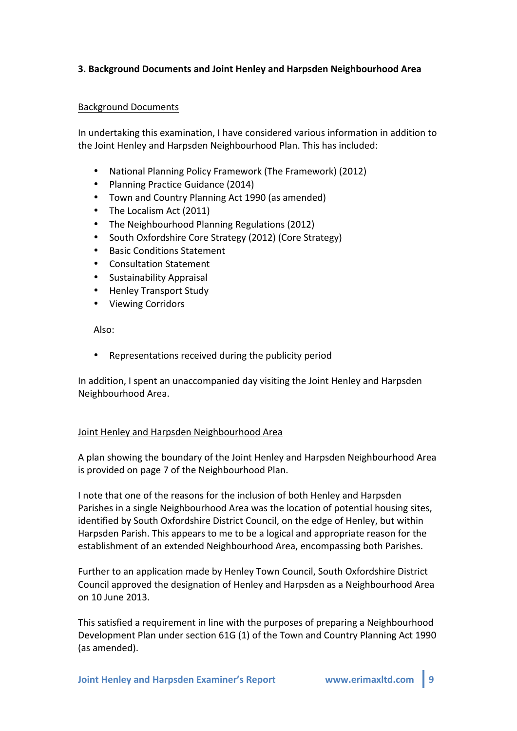## **3. Background&Documents and&Joint&Henley&and&Harpsden Neighbourhood&Area**

#### Background!Documents

In undertaking this examination, I have considered various information in addition to the Joint Henley and Harpsden Neighbourhood Plan. This has included:

- National Planning Policy Framework (The Framework) (2012)
- Planning Practice Guidance (2014)
- Town and Country Planning Act 1990 (as amended)
- The Localism Act (2011)
- The Neighbourhood Planning Regulations (2012)
- South Oxfordshire Core Strategy (2012) (Core Strategy)
- Basic Conditions Statement
- Consultation Statement
- Sustainability!Appraisal
- **Henley Transport Study**
- Viewing Corridors

Also:

Representations received during the publicity period

In addition, I spent an unaccompanied day visiting the Joint Henley and Harpsden Neighbourhood Area.

#### Joint Henley and Harpsden Neighbourhood Area

A plan showing the boundary of the Joint Henley and Harpsden Neighbourhood Area is provided on page 7 of the Neighbourhood Plan.

I note that one of the reasons for the inclusion of both Henley and Harpsden Parishes in a single Neighbourhood Area was the location of potential housing sites, identified by South Oxfordshire District Council, on the edge of Henley, but within Harpsden Parish. This appears to me to be a logical and appropriate reason for the establishment of an extended Neighbourhood Area, encompassing both Parishes.

Further to an application made by Henley Town Council, South Oxfordshire District Council approved the designation of Henley and Harpsden as a Neighbourhood Area on!10 June!2013.

This satisfied a requirement in line with the purposes of preparing a Neighbourhood Development Plan under section 61G (1) of the Town and Country Planning Act 1990 (as amended).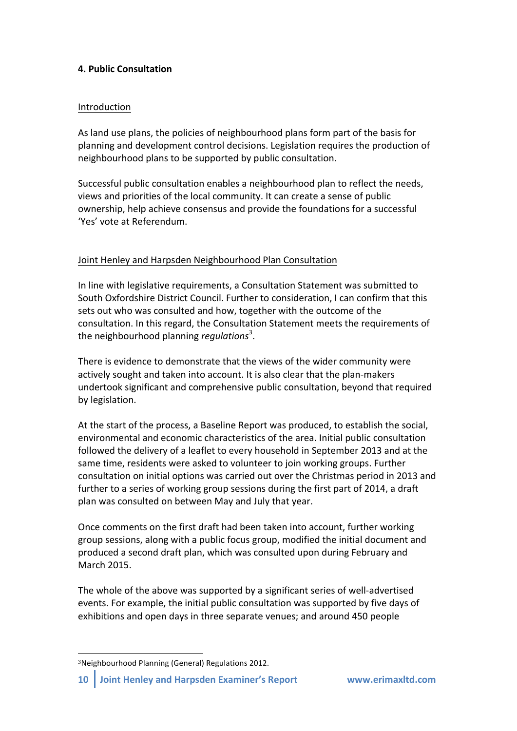# **4. Public&Consultation**

#### Introduction

As land use plans, the policies of neighbourhood plans form part of the basis for planning and development control decisions. Legislation requires the production of neighbourhood plans to be supported by public consultation.

Successful public consultation enables a neighbourhood plan to reflect the needs, views and priorities of the local community. It can create a sense of public ownership, help achieve consensus and provide the foundations for a successful 'Yes' vote at Referendum.

## Joint Henley and Harpsden Neighbourhood Plan Consultation

In line with legislative requirements, a Consultation Statement was submitted to South Oxfordshire District Council. Further to consideration, I can confirm that this sets out who was consulted and how, together with the outcome of the consultation. In this regard, the Consultation Statement meets the requirements of the neighbourhood planning *regulations*<sup>3</sup>.

There is evidence to demonstrate that the views of the wider community were actively sought and taken into account. It is also clear that the plan-makers undertook significant and comprehensive public consultation, beyond that required by legislation.

At the start of the process, a Baseline Report was produced, to establish the social, environmental and economic characteristics of the area. Initial public consultation followed the delivery of a leaflet to every household in September 2013 and at the same time, residents were asked to volunteer to join working groups. Further consultation on initial options was carried out over the Christmas period in 2013 and further to a series of working group sessions during the first part of 2014, a draft plan was consulted on between May and July that year.

Once comments on the first draft had been taken into account, further working group sessions, along with a public focus group, modified the initial document and produced a second draft plan, which was consulted upon during February and March!2015.

The whole of the above was supported by a significant series of well-advertised events. For example, the initial public consultation was supported by five days of exhibitions and open days in three separate venues; and around 450 people

!!!!!!!!!!!!!!!!!!!!!!!!!!!!!!!!!!!!!!!!!!!!!!!!!!!!!!!

<sup>&</sup>lt;sup>3</sup>Neighbourhood Planning (General) Regulations 2012.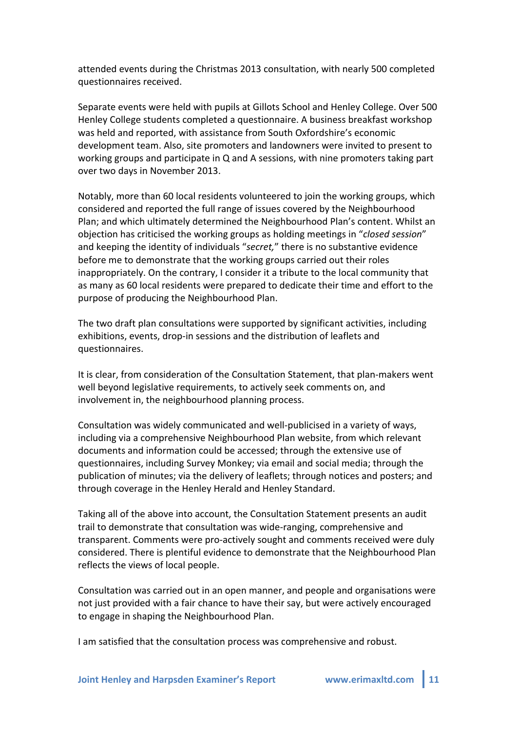attended events during the Christmas 2013 consultation, with nearly 500 completed questionnaires received.

Separate events were held with pupils at Gillots School and Henley College. Over 500 Henley College students completed a questionnaire. A business breakfast workshop was held and reported, with assistance from South Oxfordshire's economic development team. Also, site promoters and landowners were invited to present to working groups and participate in  $Q$  and A sessions, with nine promoters taking part over two days in November 2013.

Notably, more than 60 local residents volunteered to join the working groups, which considered and reported the full range of issues covered by the Neighbourhood Plan; and which ultimately determined the Neighbourhood Plan's content. Whilst an objection has criticised the working groups as holding meetings in "*closed session*" and keeping the identity of individuals "secret," there is no substantive evidence before me to demonstrate that the working groups carried out their roles inappropriately. On the contrary, I consider it a tribute to the local community that as many as 60 local residents were prepared to dedicate their time and effort to the purpose of producing the Neighbourhood Plan.

The two draft plan consultations were supported by significant activities, including exhibitions, events, drop-in sessions and the distribution of leaflets and questionnaires.

It is clear, from consideration of the Consultation Statement, that plan-makers went well beyond legislative requirements, to actively seek comments on, and involvement in, the neighbourhood planning process.

Consultation was widely communicated and well-publicised in a variety of ways, including via a comprehensive Neighbourhood Plan website, from which relevant documents and information could be accessed; through the extensive use of questionnaires, including Survey Monkey; via email and social media; through the publication of minutes; via the delivery of leaflets; through notices and posters; and through coverage in the Henley Herald and Henley Standard.

Taking all of the above into account, the Consultation Statement presents an audit trail to demonstrate that consultation was wide-ranging, comprehensive and transparent. Comments were pro-actively sought and comments received were duly considered. There is plentiful evidence to demonstrate that the Neighbourhood Plan reflects the views of local people.

Consultation was carried out in an open manner, and people and organisations were not just provided with a fair chance to have their say, but were actively encouraged to engage in shaping the Neighbourhood Plan.

I am satisfied that the consultation process was comprehensive and robust.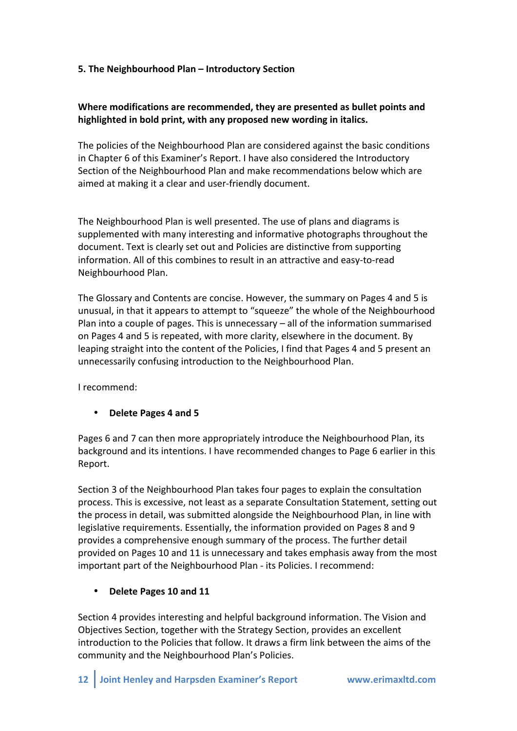## **5.** The Neighbourhood Plan – Introductory Section

## Where modifications are recommended, they are presented as bullet points and highlighted in bold print, with any proposed new wording in italics.

The policies of the Neighbourhood Plan are considered against the basic conditions in Chapter 6 of this Examiner's Report. I have also considered the Introductory Section of the Neighbourhood Plan and make recommendations below which are aimed at making it a clear and user-friendly document.

The Neighbourhood Plan is well presented. The use of plans and diagrams is supplemented with many interesting and informative photographs throughout the document. Text is clearly set out and Policies are distinctive from supporting information. All of this combines to result in an attractive and easy-to-read Neighbourhood Plan.

The Glossary and Contents are concise. However, the summary on Pages 4 and 5 is unusual, in that it appears to attempt to "squeeze" the whole of the Neighbourhood Plan into a couple of pages. This is unnecessary  $-$  all of the information summarised on Pages 4 and 5 is repeated, with more clarity, elsewhere in the document. By leaping straight into the content of the Policies, I find that Pages 4 and 5 present an unnecessarily confusing introduction to the Neighbourhood Plan.

I recommend:

## **Delete Pages 4 and 5**

Pages 6 and 7 can then more appropriately introduce the Neighbourhood Plan, its background and its intentions. I have recommended changes to Page 6 earlier in this Report.

Section 3 of the Neighbourhood Plan takes four pages to explain the consultation process. This is excessive, not least as a separate Consultation Statement, setting out the process in detail, was submitted alongside the Neighbourhood Plan, in line with legislative requirements. Essentially, the information provided on Pages 8 and 9 provides a comprehensive enough summary of the process. The further detail provided on Pages 10 and 11 is unnecessary and takes emphasis away from the most important part of the Neighbourhood Plan - its Policies. I recommend:

## **Delete Pages 10 and 11**

Section 4 provides interesting and helpful background information. The Vision and Objectives Section, together with the Strategy Section, provides an excellent introduction to the Policies that follow. It draws a firm link between the aims of the community and the Neighbourhood Plan's Policies.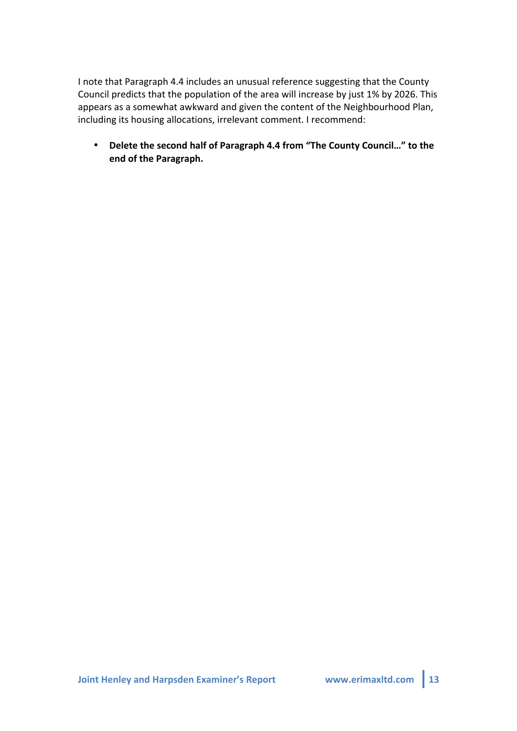I note that Paragraph 4.4 includes an unusual reference suggesting that the County Council predicts that the population of the area will increase by just 1% by 2026. This appears as a somewhat awkward and given the content of the Neighbourhood Plan, including its housing allocations, irrelevant comment. I recommend:

• Delete the second half of Paragraph 4.4 from "The County Council..." to the end of the Paragraph.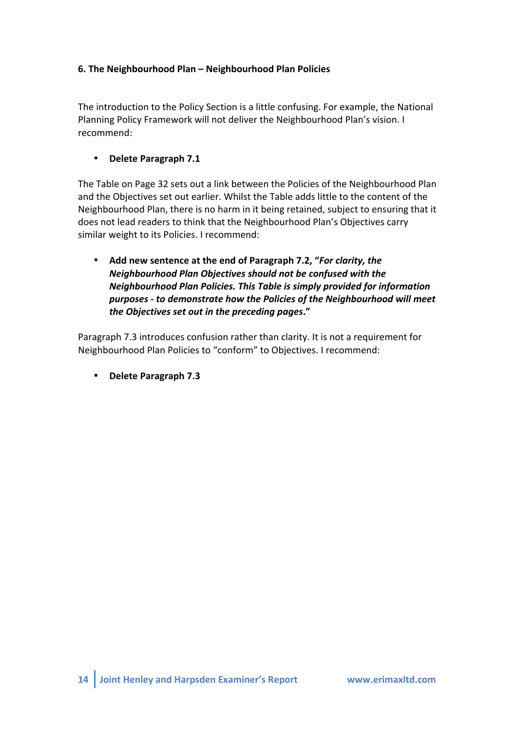# **6.** The Neighbourhood Plan – Neighbourhood Plan Policies

The introduction to the Policy Section is a little confusing. For example, the National Planning Policy Framework will not deliver the Neighbourhood Plan's vision. I recommend:

• Delete Paragraph 7.1

The Table on Page 32 sets out a link between the Policies of the Neighbourhood Plan and the Objectives set out earlier. Whilst the Table adds little to the content of the Neighbourhood Plan, there is no harm in it being retained, subject to ensuring that it does not lead readers to think that the Neighbourhood Plan's Objectives carry similar weight to its Policies. I recommend:

Add new sentence at the end of Paragraph 7.2, "For clarity, the *Neighbourhood Plan Objectives should not be confused with the Neighbourhood Plan Policies. This Table is simply provided for information purposes)\$ to)demonstrate)how)the)Policies)of)the)Neighbourhood)will)meet) the)Objectives)set)out)in)the)preceding)pages***."**

Paragraph 7.3 introduces confusion rather than clarity. It is not a requirement for Neighbourhood Plan Policies to "conform" to Objectives. I recommend:

• **Delete Paragraph 7.3**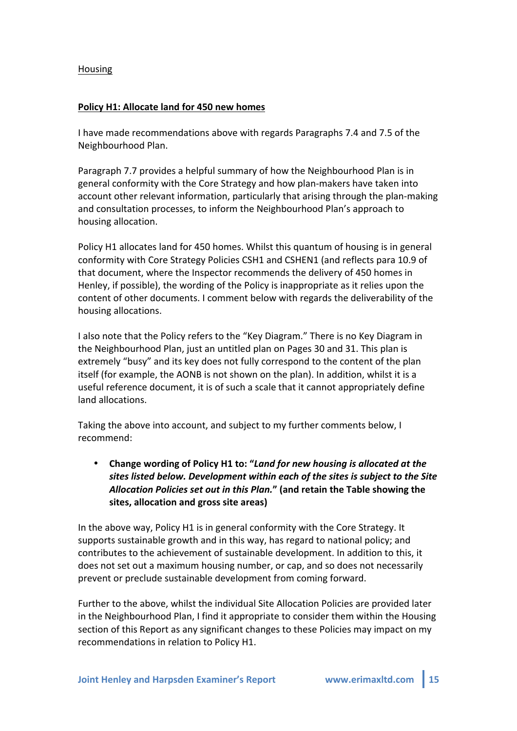#### **Housing**

#### Policy H1: Allocate land for 450 new homes

I have made recommendations above with regards Paragraphs 7.4 and 7.5 of the Neighbourhood Plan.

Paragraph 7.7 provides a helpful summary of how the Neighbourhood Plan is in general conformity with the Core Strategy and how plan-makers have taken into account other relevant information, particularly that arising through the plan-making and consultation processes, to inform the Neighbourhood Plan's approach to housing allocation.

Policy H1 allocates land for 450 homes. Whilst this quantum of housing is in general conformity with Core Strategy Policies CSH1 and CSHEN1 (and reflects para 10.9 of that document, where the Inspector recommends the delivery of 450 homes in Henley, if possible), the wording of the Policy is inappropriate as it relies upon the content of other documents. I comment below with regards the deliverability of the housing allocations.

I also note that the Policy refers to the "Key Diagram." There is no Key Diagram in the Neighbourhood Plan, just an untitled plan on Pages 30 and 31. This plan is extremely "busy" and its key does not fully correspond to the content of the plan itself (for example, the AONB is not shown on the plan). In addition, whilst it is a useful reference document, it is of such a scale that it cannot appropriately define land allocations.

Taking the above into account, and subject to my further comments below, I recommend:

Change wording of Policy H1 to: "*Land for new housing is allocated at the sites)listed)below.)Development)within)each)of)the)sites)is)subject)to)the)Site)* Allocation Policies set out in this Plan." (and retain the Table showing the sites, allocation and gross site areas)

In the above way, Policy H1 is in general conformity with the Core Strategy. It supports sustainable growth and in this way, has regard to national policy; and contributes to the achievement of sustainable development. In addition to this, it does not set out a maximum housing number, or cap, and so does not necessarily prevent or preclude sustainable development from coming forward.

Further to the above, whilst the individual Site Allocation Policies are provided later in the Neighbourhood Plan, I find it appropriate to consider them within the Housing section of this Report as any significant changes to these Policies may impact on my recommendations in relation to Policy H1.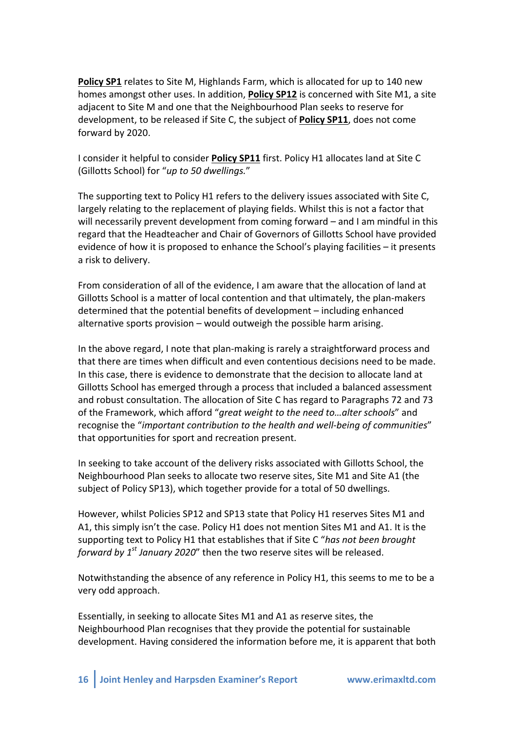Policy SP1 relates to Site M, Highlands Farm, which is allocated for up to 140 new homes amongst other uses. In addition, **Policy SP12** is concerned with Site M1, a site adjacent to Site M and one that the Neighbourhood Plan seeks to reserve for development, to be released if Site C, the subject of **Policy SP11**, does not come forward by 2020.

I consider it helpful to consider **Policy SP11** first. Policy H1 allocates land at Site C (Gillotts School) for "up to 50 dwellings."

The supporting text to Policy H1 refers to the delivery issues associated with Site C, largely relating to the replacement of playing fields. Whilst this is not a factor that will necessarily prevent development from coming forward – and I am mindful in this regard that the Headteacher and Chair of Governors of Gillotts School have provided evidence of how it is proposed to enhance the School's playing facilities – it presents a risk to delivery.

From consideration of all of the evidence, I am aware that the allocation of land at Gillotts School is a matter of local contention and that ultimately, the plan-makers determined that the potential benefits of development – including enhanced alternative sports provision – would outweigh the possible harm arising.

In the above regard, I note that plan-making is rarely a straightforward process and that there are times when difficult and even contentious decisions need to be made. In this case, there is evidence to demonstrate that the decision to allocate land at Gillotts School has emerged through a process that included a balanced assessment and robust consultation. The allocation of Site C has regard to Paragraphs 72 and 73 of the Framework, which afford "*great weight to the need to...alter schools*" and recognise the "*important contribution to the health and well-being of communities*" that opportunities for sport and recreation present.

In seeking to take account of the delivery risks associated with Gillotts School, the Neighbourhood Plan seeks to allocate two reserve sites, Site M1 and Site A1 (the subject of Policy SP13), which together provide for a total of 50 dwellings.

However, whilst Policies SP12 and SP13 state that Policy H1 reserves Sites M1 and A1, this simply isn't the case. Policy H1 does not mention Sites M1 and A1. It is the supporting text to Policy H1 that establishes that if Site C "*has not been brought forward by 1<sup>st</sup> January 2020"* then the two reserve sites will be released.

Notwithstanding the absence of any reference in Policy H1, this seems to me to be a very odd approach.

Essentially, in seeking to allocate Sites M1 and A1 as reserve sites, the Neighbourhood Plan recognises that they provide the potential for sustainable development. Having considered the information before me, it is apparent that both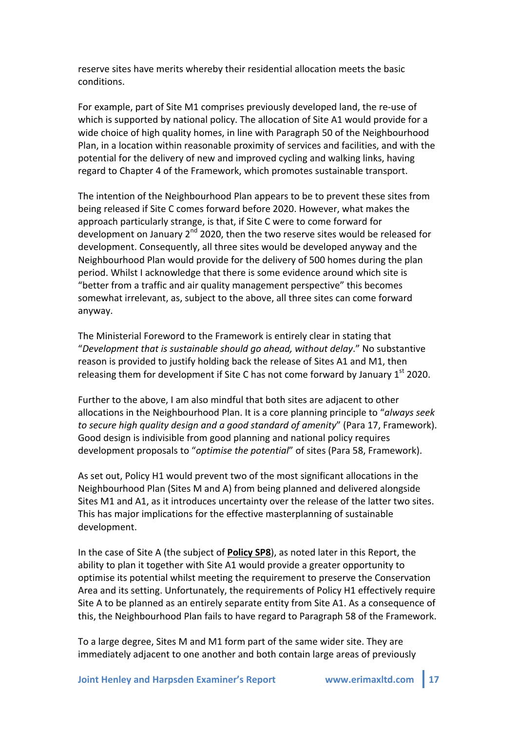reserve sites have merits whereby their residential allocation meets the basic conditions.

For example, part of Site M1 comprises previously developed land, the re-use of which is supported by national policy. The allocation of Site A1 would provide for a wide choice of high quality homes, in line with Paragraph 50 of the Neighbourhood Plan, in a location within reasonable proximity of services and facilities, and with the potential for the delivery of new and improved cycling and walking links, having regard to Chapter 4 of the Framework, which promotes sustainable transport.

The intention of the Neighbourhood Plan appears to be to prevent these sites from being released if Site C comes forward before 2020. However, what makes the approach particularly strange, is that, if Site C were to come forward for development on January  $2^{nd}$  2020, then the two reserve sites would be released for development. Consequently, all three sites would be developed anyway and the Neighbourhood Plan would provide for the delivery of 500 homes during the plan period. Whilst I acknowledge that there is some evidence around which site is "better from a traffic and air quality management perspective" this becomes somewhat irrelevant, as, subject to the above, all three sites can come forward anyway.

The Ministerial Foreword to the Framework is entirely clear in stating that "Development that is sustainable should go ahead, without delay." No substantive reason is provided to justify holding back the release of Sites A1 and M1, then releasing them for development if Site C has not come forward by January  $1<sup>st</sup>$  2020.

Further to the above, I am also mindful that both sites are adjacent to other allocations in the Neighbourhood Plan. It is a core planning principle to "*always seek to secure high quality design and a good standard of amenity*" (Para 17, Framework). Good design is indivisible from good planning and national policy requires development proposals to "*optimise the potential*" of sites (Para 58, Framework).

As set out, Policy H1 would prevent two of the most significant allocations in the Neighbourhood Plan (Sites M and A) from being planned and delivered alongside Sites M1 and A1, as it introduces uncertainty over the release of the latter two sites. This has major implications for the effective masterplanning of sustainable development.

In the case of Site A (the subject of **Policy SP8**), as noted later in this Report, the ability to plan it together with Site A1 would provide a greater opportunity to optimise its potential whilst meeting the requirement to preserve the Conservation Area and its setting. Unfortunately, the requirements of Policy H1 effectively require Site A to be planned as an entirely separate entity from Site A1. As a consequence of this, the Neighbourhood Plan fails to have regard to Paragraph 58 of the Framework.

To a large degree, Sites M and M1 form part of the same wider site. They are immediately adjacent to one another and both contain large areas of previously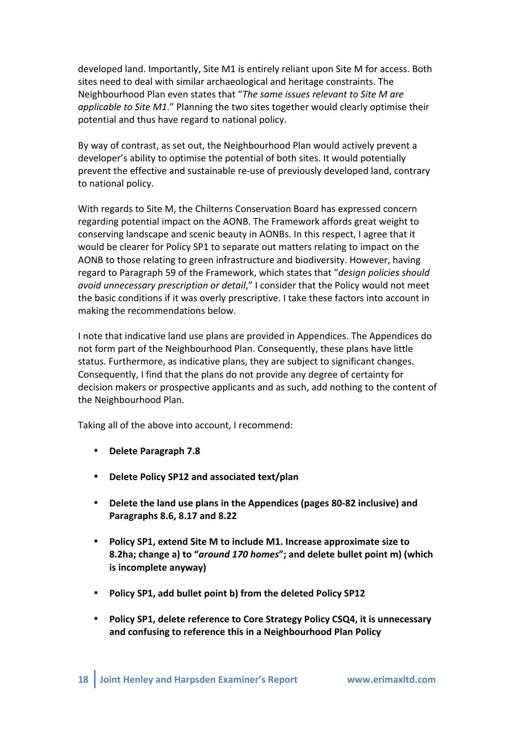developed land. Importantly, Site M1 is entirely reliant upon Site M for access. Both sites need to deal with similar archaeological and heritage constraints. The Neighbourhood Plan even states that "*The same issues relevant to Site M are applicable to Site M1*." Planning the two sites together would clearly optimise their potential and thus have regard to national policy.

By way of contrast, as set out, the Neighbourhood Plan would actively prevent a developer's ability to optimise the potential of both sites. It would potentially prevent the effective and sustainable re-use of previously developed land, contrary to national policy.

With regards to Site M, the Chilterns Conservation Board has expressed concern regarding potential impact on the AONB. The Framework affords great weight to conserving landscape and scenic beauty in AONBs. In this respect, I agree that it would be clearer for Policy SP1 to separate out matters relating to impact on the AONB to those relating to green infrastructure and biodiversity. However, having regard to Paragraph 59 of the Framework, which states that "*design policies should avoid unnecessary prescription or detail*," I consider that the Policy would not meet the basic conditions if it was overly prescriptive. I take these factors into account in making the recommendations below.

I note that indicative land use plans are provided in Appendices. The Appendices do not form part of the Neighbourhood Plan. Consequently, these plans have little status. Furthermore, as indicative plans, they are subject to significant changes. Consequently, I find that the plans do not provide any degree of certainty for decision makers or prospective applicants and as such, add nothing to the content of the Neighbourhood Plan.

Taking all of the above into account, I recommend:

- Delete Paragraph 7.8
- Delete Policy SP12 and associated text/plan
- Delete the land use plans in the Appendices (pages 80-82 inclusive) and **Paragraphs&8.6,&8.17&and&8.22**
- Policy SP1, extend Site M to include M1. Increase approximate size to **8.2ha;** change a) to "*around 170 homes*"; and delete bullet point m) (which **is incomplete anyway)**
- Policy SP1, add bullet point b) from the deleted Policy SP12
- Policy SP1, delete reference to Core Strategy Policy CSQ4, it is unnecessary and confusing to reference this in a Neighbourhood Plan Policy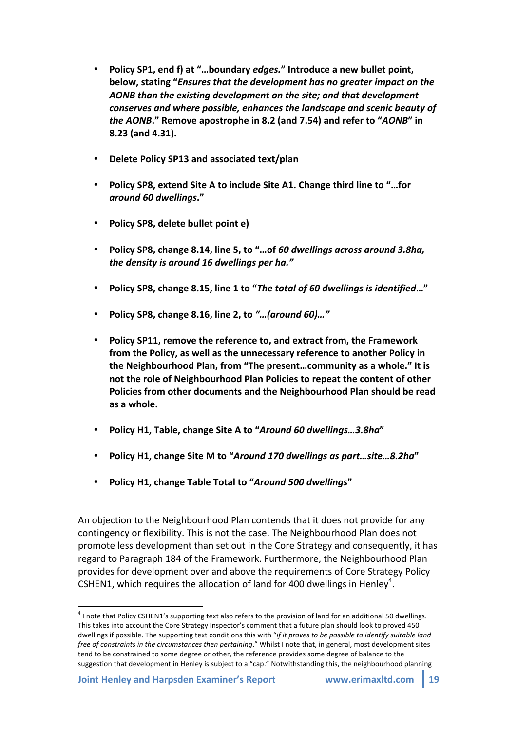- Policy SP1, end f) at "...boundary *edges.*" Introduce a new bullet point, below, stating "*Ensures that the development has no greater impact on the AONB)than)the)existing)development)on)the)site;)and)that)development) conserves)and)where)possible,)enhances)the)landscape)and)scenic)beauty)of) the AONB***." Remove apostrophe in 8.2 (and 7.54) and refer to "AONB" in 8.23&(and&4.31).**
- **Delete Policy SP13 and associated text/plan**
- **Policy SP8, extend Site A to include Site A1. Change third line to "...for** *around)60)dwellings***."**
- Policy SP8, delete bullet point e)
- **Policy&SP8,&change&8.14,&line&5,&to&"…of&***60)dwellings)across)around)3.8ha,)* the density is around 16 dwellings per ha."
- **Policy&SP8,&change&8.15,&line&1&to&"***The)total)of)60)dwellings)is)identified***…"**
- **Policy&SP8,&change&8.16,&line&2,&to&***"…(around)60)…"*
- **Policy SP11, remove the reference to, and extract from, the Framework** from the Policy, as well as the unnecessary reference to another Policy in the Neighbourhood Plan, from "The present...community as a whole." It is not the role of Neighbourhood Plan Policies to repeat the content of other Policies from other documents and the Neighbourhood Plan should be read as a whole.
- **Policy&H1,&Table,&change&Site&A&to&"***Around)60)dwellings…3.8ha***"**
- **Policy&H1,&change&Site&M&to&"***Around)170)dwellings)as)part…site…8.2ha***"**
- **Policy H1, change Table Total to "Around 500 dwellings"**

An objection to the Neighbourhood Plan contends that it does not provide for any contingency or flexibility. This is not the case. The Neighbourhood Plan does not promote less development than set out in the Core Strategy and consequently, it has regard to Paragraph 184 of the Framework. Furthermore, the Neighbourhood Plan provides for development over and above the requirements of Core Strategy Policy CSHEN1, which requires the allocation of land for 400 dwellings in Henley<sup>4</sup>.

 $1$  I note that Policy CSHEN1's supporting text also refers to the provision of land for an additional 50 dwellings. This takes into account the Core Strategy Inspector's comment that a future plan should look to proved 450 dwellings if possible. The supporting text conditions this with "*if it proves to be possible to identify suitable land free of constraints in the circumstances then pertaining."* Whilst I note that, in general, most development sites tend to be constrained to some degree or other, the reference provides some degree of balance to the suggestion that development in Henley is subject to a "cap." Notwithstanding this, the neighbourhood planning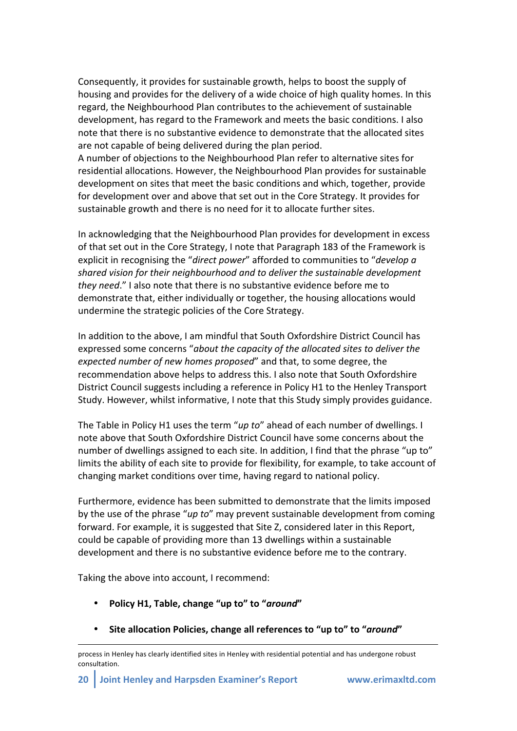Consequently, it provides for sustainable growth, helps to boost the supply of housing and provides for the delivery of a wide choice of high quality homes. In this regard, the Neighbourhood Plan contributes to the achievement of sustainable development, has regard to the Framework and meets the basic conditions. I also note that there is no substantive evidence to demonstrate that the allocated sites are not capable of being delivered during the plan period.

A number of objections to the Neighbourhood Plan refer to alternative sites for residential allocations. However, the Neighbourhood Plan provides for sustainable development on sites that meet the basic conditions and which, together, provide for development over and above that set out in the Core Strategy. It provides for sustainable growth and there is no need for it to allocate further sites.

In acknowledging that the Neighbourhood Plan provides for development in excess of that set out in the Core Strategy, I note that Paragraph 183 of the Framework is explicit in recognising the "*direct power*" afforded to communities to "*develop a shared+vision+for+their+neighbourhood+and+to+deliver+the+sustainable+development+ they need.*" I also note that there is no substantive evidence before me to demonstrate that, either individually or together, the housing allocations would undermine the strategic policies of the Core Strategy.

In addition to the above, I am mindful that South Oxfordshire District Council has expressed some concerns "about the capacity of the allocated sites to deliver the *expected number of new homes proposed*" and that, to some degree, the recommendation above helps to address this. I also note that South Oxfordshire District Council suggests including a reference in Policy H1 to the Henley Transport Study. However, whilst informative, I note that this Study simply provides guidance.

The Table in Policy H1 uses the term "*up to*" ahead of each number of dwellings. I note above that South Oxfordshire District Council have some concerns about the number of dwellings assigned to each site. In addition, I find that the phrase "up to" limits the ability of each site to provide for flexibility, for example, to take account of changing market conditions over time, having regard to national policy.

Furthermore, evidence has been submitted to demonstrate that the limits imposed by the use of the phrase "*up to*" may prevent sustainable development from coming forward. For example, it is suggested that Site Z, considered later in this Report, could be capable of providing more than 13 dwellings within a sustainable development and there is no substantive evidence before me to the contrary.

Taking the above into account, I recommend:

- **Policy&H1,&Table,&change&"up&to"&to&"***around***"**
- **Site allocation Policies, change all references to "up to" to "around"**

!!!!!!!!!!!!!!!!!!!!!!!!!!!!!!!!!!!!!!!!!!!!!!!!!!!!!!!!!!!!!!!!!!!!!!!!!!!!!!!!!!!!!!!!!!!!!!!!!!!!!!!!!!!!!!!!!!!!!!!!!!!!!!!!!!!!!!!!!!!!!!!!!!!!!!!!!!!!!!

process in Henley has clearly identified sites in Henley with residential potential and has undergone robust consultation.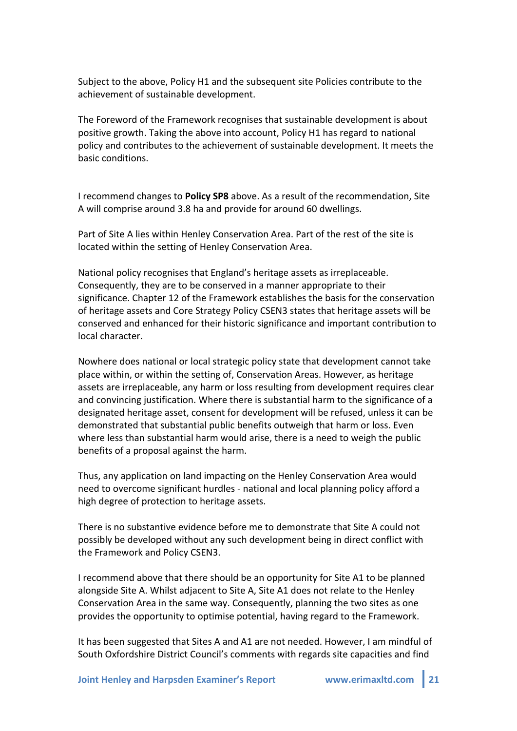Subject to the above, Policy H1 and the subsequent site Policies contribute to the achievement of sustainable development.

The Foreword of the Framework recognises that sustainable development is about positive growth. Taking the above into account, Policy H1 has regard to national policy and contributes to the achievement of sustainable development. It meets the basic!conditions.

I recommend changes to **Policy SP8** above. As a result of the recommendation, Site A will comprise around 3.8 ha and provide for around 60 dwellings.

Part of Site A lies within Henley Conservation Area. Part of the rest of the site is located within the setting of Henley Conservation Area.

National policy recognises that England's heritage assets as irreplaceable. Consequently, they are to be conserved in a manner appropriate to their significance. Chapter 12 of the Framework establishes the basis for the conservation of heritage assets and Core Strategy Policy CSEN3 states that heritage assets will be conserved and enhanced for their historic significance and important contribution to local character.

Nowhere does national or local strategic policy state that development cannot take place within, or within the setting of, Conservation Areas. However, as heritage assets are irreplaceable, any harm or loss resulting from development requires clear and convincing justification. Where there is substantial harm to the significance of a designated heritage asset, consent for development will be refused, unless it can be demonstrated that substantial public benefits outweigh that harm or loss. Even where less than substantial harm would arise, there is a need to weigh the public benefits of a proposal against the harm.

Thus, any application on land impacting on the Henley Conservation Area would need to overcome significant hurdles - national and local planning policy afford a high degree of protection to heritage assets.

There is no substantive evidence before me to demonstrate that Site A could not possibly be developed without any such development being in direct conflict with the Framework and Policy CSEN3.

I recommend above that there should be an opportunity for Site A1 to be planned alongside Site A. Whilst adjacent to Site A, Site A1 does not relate to the Henley Conservation Area in the same way. Consequently, planning the two sites as one provides the opportunity to optimise potential, having regard to the Framework.

It has been suggested that Sites A and A1 are not needed. However, I am mindful of South Oxfordshire District Council's comments with regards site capacities and find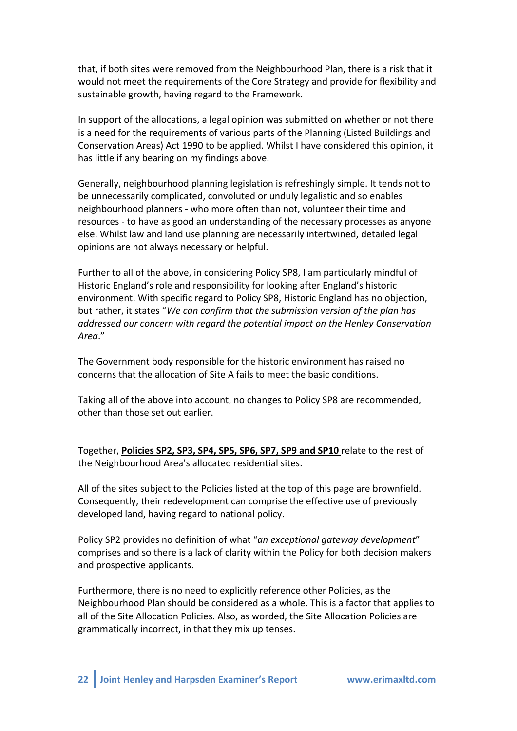that, if both sites were removed from the Neighbourhood Plan, there is a risk that it would not meet the requirements of the Core Strategy and provide for flexibility and sustainable growth, having regard to the Framework.

In support of the allocations, a legal opinion was submitted on whether or not there is a need for the requirements of various parts of the Planning (Listed Buildings and Conservation Areas) Act 1990 to be applied. Whilst I have considered this opinion, it has little if any bearing on my findings above.

Generally, neighbourhood planning legislation is refreshingly simple. It tends not to be unnecessarily complicated, convoluted or unduly legalistic and so enables neighbourhood planners - who more often than not, volunteer their time and resources - to have as good an understanding of the necessary processes as anyone else. Whilst law and land use planning are necessarily intertwined, detailed legal opinions are not always necessary or helpful.

Further to all of the above, in considering Policy SP8, I am particularly mindful of Historic England's role and responsibility for looking after England's historic environment. With specific regard to Policy SP8, Historic England has no objection, but rather, it states "We can confirm that the submission version of the plan has *addressed+our+concern+with+regard+the+potential+impact+on+the+Henley+Conservation+ Area*."

The Government body responsible for the historic environment has raised no concerns that the allocation of Site A fails to meet the basic conditions.

Taking all of the above into account, no changes to Policy SP8 are recommended, other than those set out earlier.

Together, Policies SP2, SP3, SP4, SP5, SP6, SP7, SP9 and SP10 relate to the rest of the Neighbourhood Area's allocated residential sites.

All of the sites subject to the Policies listed at the top of this page are brownfield. Consequently, their redevelopment can comprise the effective use of previously developed land, having regard to national policy.

Policy SP2 provides no definition of what "an exceptional gateway development" comprises and so there is a lack of clarity within the Policy for both decision makers and prospective applicants.

Furthermore, there is no need to explicitly reference other Policies, as the Neighbourhood Plan should be considered as a whole. This is a factor that applies to all of the Site Allocation Policies. Also, as worded, the Site Allocation Policies are grammatically incorrect, in that they mix up tenses.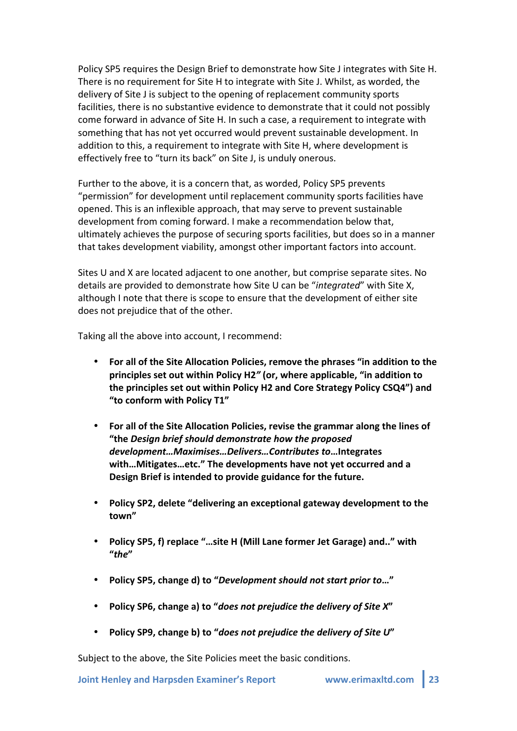Policy SP5 requires the Design Brief to demonstrate how Site J integrates with Site H. There is no requirement for Site H to integrate with Site J. Whilst, as worded, the delivery of Site J is subject to the opening of replacement community sports facilities, there is no substantive evidence to demonstrate that it could not possibly come forward in advance of Site H. In such a case, a requirement to integrate with something that has not yet occurred would prevent sustainable development. In addition to this, a requirement to integrate with Site H, where development is effectively free to "turn its back" on Site J, is unduly onerous.

Further to the above, it is a concern that, as worded, Policy SP5 prevents "permission" for development until replacement community sports facilities have opened. This is an inflexible approach, that may serve to prevent sustainable development from coming forward. I make a recommendation below that, ultimately achieves the purpose of securing sports facilities, but does so in a manner that takes development viability, amongst other important factors into account.

Sites U and X are located adjacent to one another, but comprise separate sites. No details are provided to demonstrate how Site U can be "*integrated*" with Site X, although I note that there is scope to ensure that the development of either site does not prejudice that of the other.

Taking all the above into account, I recommend:

- For all of the Site Allocation Policies, remove the phrases "in addition to the **principles set out within Policy H2<sup>n</sup> (or, where applicable, "in addition to** the principles set out within Policy H2 and Core Strategy Policy CSQ4") and "to conform with Policy T1"
- For all of the Site Allocation Policies, revise the grammar along the lines of **"the&***Design)brief)should)demonstrate)how)the)proposed development…Maximises…Delivers…Contributes)to***…Integrates&** with...Mitigates...etc." The developments have not yet occurred and a Design Brief is intended to provide guidance for the future.
- Policy SP2, delete "delivering an exceptional gateway development to the **town"**
- Policy SP5, f) replace "...site H (Mill Lane former Jet Garage) and.." with **"***the***"**
- Policy SP5, change d) to "*Development should not start prior to*..."
- **Policy SP6, change a) to "does not prejudice the delivery of Site X"**
- Policy SP9, change b) to "*does not prejudice the delivery of Site U*"

Subject to the above, the Site Policies meet the basic conditions.

**Joint Henley and Harpsden Examiner's Report WWW.erimaxltd.com | 23**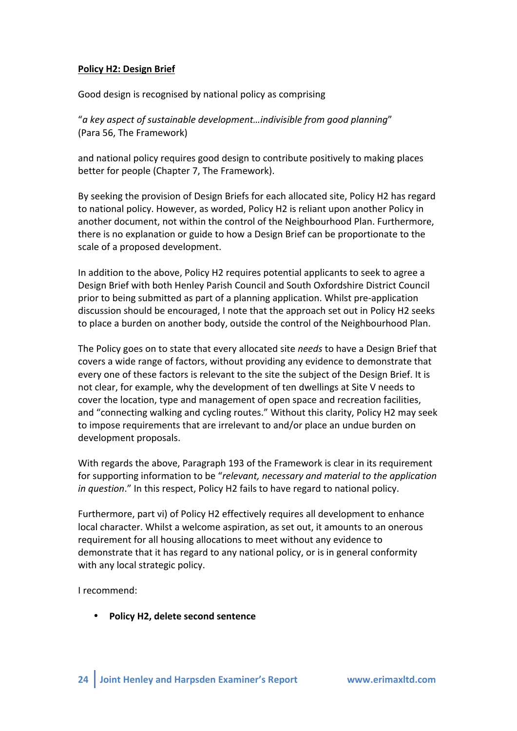#### **Policy H2: Design Brief**

Good design is recognised by national policy as comprising

"a key aspect of sustainable development...indivisible from good planning" (Para 56, The Framework)

and national policy requires good design to contribute positively to making places better for people (Chapter 7, The Framework).

By seeking the provision of Design Briefs for each allocated site, Policy H2 has regard to national policy. However, as worded, Policy H2 is reliant upon another Policy in another document, not within the control of the Neighbourhood Plan. Furthermore, there is no explanation or guide to how a Design Brief can be proportionate to the scale of a proposed development.

In addition to the above, Policy H2 requires potential applicants to seek to agree a Design Brief with both Henley Parish Council and South Oxfordshire District Council prior to being submitted as part of a planning application. Whilst pre-application discussion should be encouraged, I note that the approach set out in Policy H2 seeks to place a burden on another body, outside the control of the Neighbourhood Plan.

The Policy goes on to state that every allocated site *needs* to have a Design Brief that covers a wide range of factors, without providing any evidence to demonstrate that every one of these factors is relevant to the site the subject of the Design Brief. It is not clear, for example, why the development of ten dwellings at Site V needs to cover the location, type and management of open space and recreation facilities, and "connecting walking and cycling routes." Without this clarity, Policy H2 may seek to impose requirements that are irrelevant to and/or place an undue burden on development proposals.

With regards the above, Paragraph 193 of the Framework is clear in its requirement for supporting information to be "*relevant, necessary and material to the application in question*." In this respect, Policy H2 fails to have regard to national policy.

Furthermore, part vi) of Policy H2 effectively requires all development to enhance local character. Whilst a welcome aspiration, as set out, it amounts to an onerous requirement for all housing allocations to meet without any evidence to demonstrate that it has regard to any national policy, or is in general conformity with any local strategic policy.

I recommend:

• **Policy H2, delete second sentence**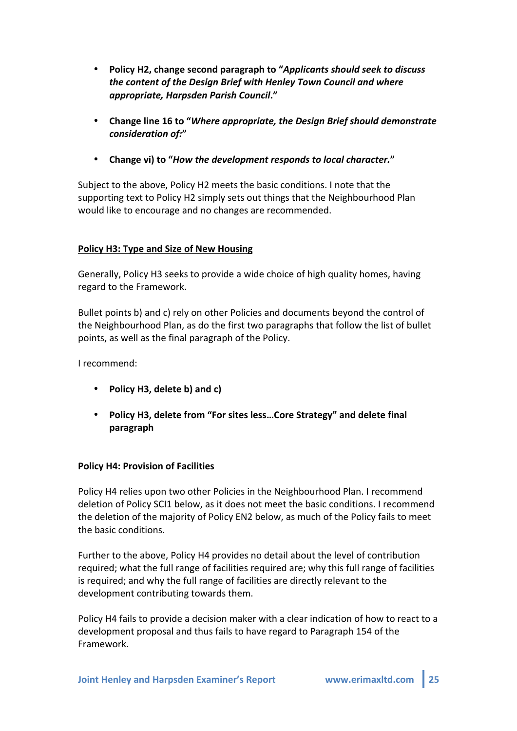- **Policy&H2,&change&second&paragraph&to&"***Applicants)should)seek)to)discuss) the)content)of)the)Design)Brief)with)Henley)Town Council and)where) appropriate,)Harpsden)Parish)Council***."**
- **Change&line&16&to&"***Where)appropriate,)the)Design)Brief)should)demonstrate) consideration)of:***"**
- **Change vi) to "How the development responds to local character."**

Subject to the above, Policy H2 meets the basic conditions. I note that the supporting text to Policy H2 simply sets out things that the Neighbourhood Plan would like to encourage and no changes are recommended.

## Policy H3: Type and Size of New Housing

Generally, Policy H3 seeks to provide a wide choice of high quality homes, having regard to the Framework.

Bullet points b) and c) rely on other Policies and documents beyond the control of the Neighbourhood Plan, as do the first two paragraphs that follow the list of bullet points, as well as the final paragraph of the Policy.

I recommend:

- Policy H3, delete b) and c)
- Policy H3, delete from "For sites less...Core Strategy" and delete final **paragraph**

## **Policy H4: Provision of Facilities**

Policy H4 relies upon two other Policies in the Neighbourhood Plan. I recommend deletion of Policy SCI1 below, as it does not meet the basic conditions. I recommend the deletion of the majority of Policy EN2 below, as much of the Policy fails to meet the basic conditions.

Further to the above, Policy H4 provides no detail about the level of contribution required; what the full range of facilities required are; why this full range of facilities is required; and why the full range of facilities are directly relevant to the development contributing towards them.

Policy H4 fails to provide a decision maker with a clear indication of how to react to a development proposal and thus fails to have regard to Paragraph 154 of the Framework.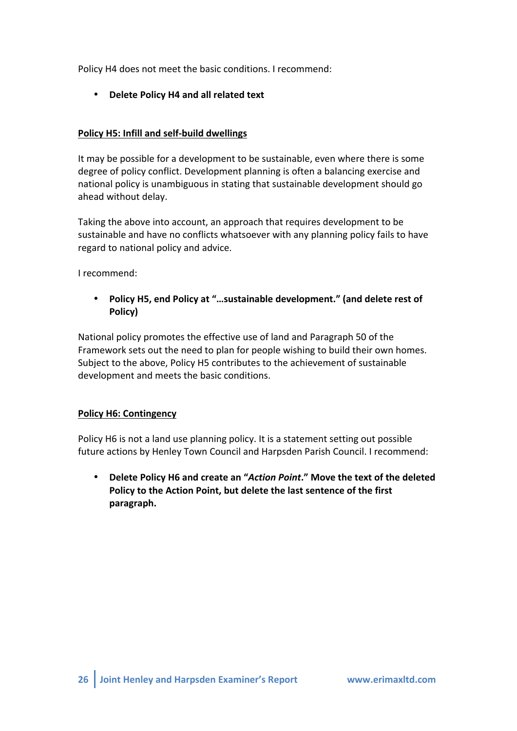Policy H4 does not meet the basic conditions. I recommend:

• **Delete Policy H4 and all related text** 

## **Policy H5: Infill and self-build dwellings**

It may be possible for a development to be sustainable, even where there is some degree of policy conflict. Development planning is often a balancing exercise and national policy is unambiguous in stating that sustainable development should go ahead without delay.

Taking the above into account, an approach that requires development to be sustainable and have no conflicts whatsoever with any planning policy fails to have regard to national policy and advice.

I recommend:

• **Policy H5, end Policy at "...sustainable development." (and delete rest of Policy)**

National policy promotes the effective use of land and Paragraph 50 of the Framework sets out the need to plan for people wishing to build their own homes. Subject to the above, Policy H5 contributes to the achievement of sustainable development and meets the basic conditions.

## **Policy H6: Contingency**

Policy H6 is not a land use planning policy. It is a statement setting out possible future actions by Henley Town Council and Harpsden Parish Council. I recommend:

**Delete Policy H6 and create an "Action Point." Move the text of the deleted** Policy to the Action Point, but delete the last sentence of the first **paragraph.**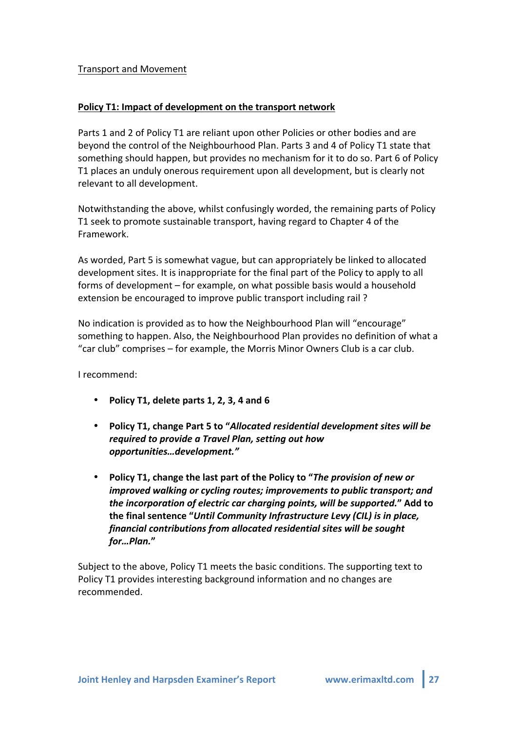#### Transport!and!Movement

#### Policy T1: Impact of development on the transport network

Parts 1 and 2 of Policy T1 are reliant upon other Policies or other bodies and are beyond the control of the Neighbourhood Plan. Parts 3 and 4 of Policy T1 state that something should happen, but provides no mechanism for it to do so. Part 6 of Policy T1 places an unduly onerous requirement upon all development, but is clearly not relevant to all development.

Notwithstanding the above, whilst confusingly worded, the remaining parts of Policy T1 seek to promote sustainable transport, having regard to Chapter 4 of the Framework.!

As worded, Part 5 is somewhat vague, but can appropriately be linked to allocated development sites. It is inappropriate for the final part of the Policy to apply to all forms of development – for example, on what possible basis would a household extension be encouraged to improve public transport including rail?

No indication is provided as to how the Neighbourhood Plan will "encourage" something to happen. Also, the Neighbourhood Plan provides no definition of what a "car club" comprises – for example, the Morris Minor Owners Club is a car club.

I recommend:

- Policy T1, delete parts 1, 2, 3, 4 and 6
- **Policy&T1,&change&Part&5&to&"***Allocated)residential)development)sites)will)be) required to provide a Travel Plan, setting out how opportunities…development."*
- Policy T1, change the last part of the Policy to "*The provision of new or improved walking or cycling routes; improvements to public transport; and the incorporation of electric car charging points, will be supported.*" Add to the final sentence "Until Community Infrastructure Levy (CIL) is in place, *financial)contributions)from)allocated)residential)sites)will)be)sought) for…Plan.***"**

Subject to the above, Policy T1 meets the basic conditions. The supporting text to Policy T1 provides interesting background information and no changes are recommended.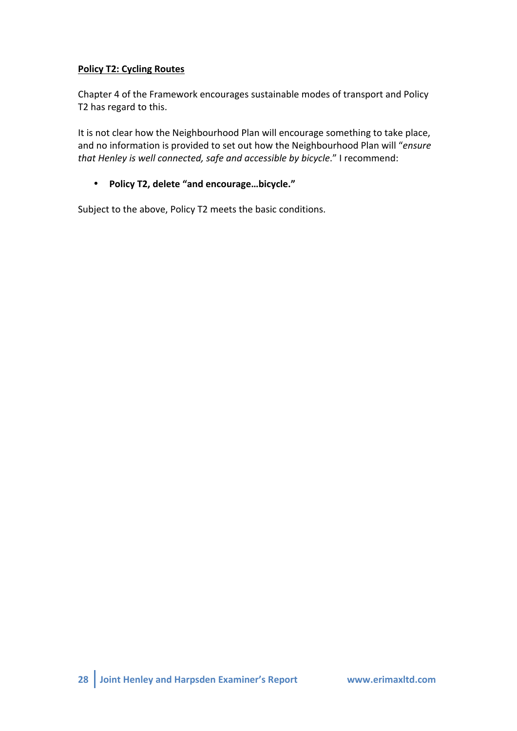# **Policy T2: Cycling Routes**

Chapter 4 of the Framework encourages sustainable modes of transport and Policy T2 has regard to this.

It is not clear how the Neighbourhood Plan will encourage something to take place, and no information is provided to set out how the Neighbourhood Plan will "ensure that Henley is well connected, safe and accessible by bicycle." I recommend:

## • **Policy&T2,&delete&"and&encourage…bicycle."**

Subject to the above, Policy T2 meets the basic conditions.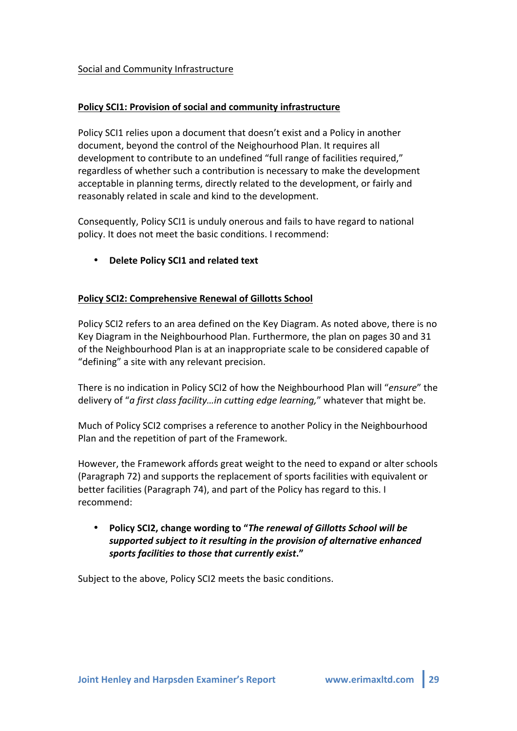#### Social and Community Infrastructure

#### Policy SCI1: Provision of social and community infrastructure

Policy SCI1 relies upon a document that doesn't exist and a Policy in another document, beyond the control of the Neighourhood Plan. It requires all development to contribute to an undefined "full range of facilities required," regardless of whether such a contribution is necessary to make the development acceptable in planning terms, directly related to the development, or fairly and reasonably related in scale and kind to the development.

Consequently, Policy SCI1 is unduly onerous and fails to have regard to national policy. It does not meet the basic conditions. I recommend:

**Delete Policy SCI1 and related text** 

#### Policy SCI2: Comprehensive Renewal of Gillotts School

Policy SCI2 refers to an area defined on the Key Diagram. As noted above, there is no Key Diagram in the Neighbourhood Plan. Furthermore, the plan on pages 30 and 31 of the Neighbourhood Plan is at an inappropriate scale to be considered capable of " defining" a site with any relevant precision.

There is no indication in Policy SCI2 of how the Neighbourhood Plan will "*ensure*" the delivery of "*a first class facility...in cutting edge learning*," whatever that might be.

Much of Policy SCI2 comprises a reference to another Policy in the Neighbourhood Plan and the repetition of part of the Framework.

However, the Framework affords great weight to the need to expand or alter schools (Paragraph 72) and supports the replacement of sports facilities with equivalent or better facilities (Paragraph 74), and part of the Policy has regard to this. I recommend:

# • **Policy&SCI2,&change&wording&to&"***The)renewal)of)Gillotts)School)will)be) supported)subject)to)it)resulting)in)the provision)of)alternative)enhanced) sports)facilities)to)those)that)currently)exist***."**

Subject to the above, Policy SCI2 meets the basic conditions.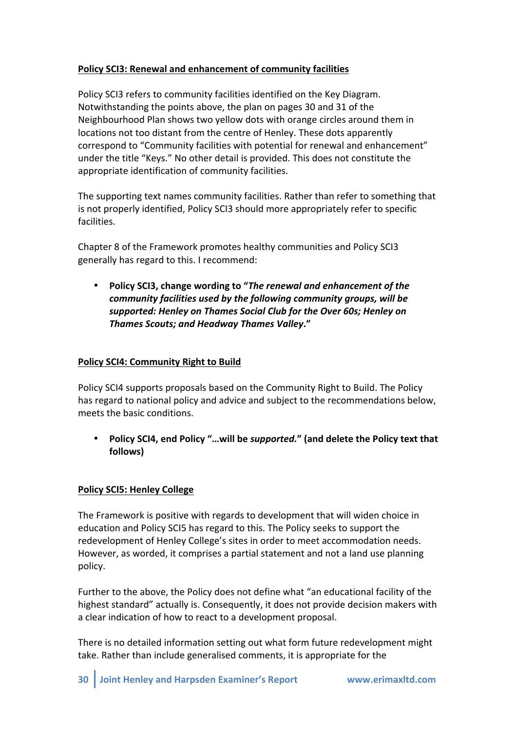# Policy SCI3: Renewal and enhancement of community facilities

Policy SCI3 refers to community facilities identified on the Key Diagram. Notwithstanding the points above, the plan on pages 30 and 31 of the Neighbourhood Plan shows two yellow dots with orange circles around them in locations not too distant from the centre of Henley. These dots apparently correspond to "Community facilities with potential for renewal and enhancement" under the title "Keys." No other detail is provided. This does not constitute the appropriate identification of community facilities.

The supporting text names community facilities. Rather than refer to something that is not properly identified, Policy SCI3 should more appropriately refer to specific facilities.

Chapter 8 of the Framework promotes healthy communities and Policy SCI3 generally has regard to this. I recommend:

• **Policy&SCI3,&change&wording&to&"***The)renewal)and)enhancement)of)the)* community facilities used by the following community groups, will be supported: Henley on Thames Social Club for the Over 60s; Henley on **Thames Scouts; and Headway Thames Valley."** 

## **Policy SCI4: Community Right to Build**

Policy SCI4 supports proposals based on the Community Right to Build. The Policy has regard to national policy and advice and subject to the recommendations below, meets the basic conditions.

Policy SCI4, end Policy "...will be *supported.*" (and delete the Policy text that **follows)**

## **Policy SCI5: Henley College**

The Framework is positive with regards to development that will widen choice in education and Policy SCI5 has regard to this. The Policy seeks to support the redevelopment of Henley College's sites in order to meet accommodation needs. However, as worded, it comprises a partial statement and not a land use planning policy.

Further to the above, the Policy does not define what "an educational facility of the highest standard" actually is. Consequently, it does not provide decision makers with a clear indication of how to react to a development proposal.

There is no detailed information setting out what form future redevelopment might take. Rather than include generalised comments, it is appropriate for the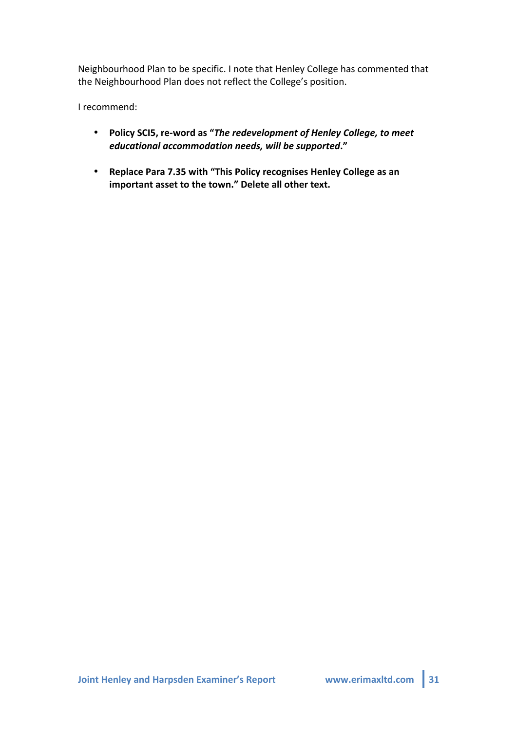Neighbourhood Plan to be specific. I note that Henley College has commented that the Neighbourhood Plan does not reflect the College's position.

I recommend:

- **Policy SCI5, re-word as "The redevelopment of Henley College, to meet** *educational)accommodation)needs,)will)be)supported***."**
- Replace Para 7.35 with "This Policy recognises Henley College as an important asset to the town." Delete all other text.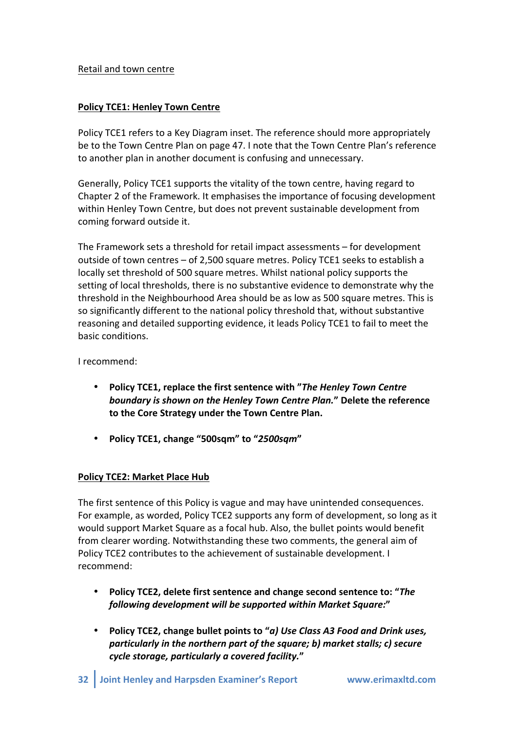#### Retail and town centre

## **Policy TCE1: Henley Town Centre**

Policy TCE1 refers to a Key Diagram inset. The reference should more appropriately be to the Town Centre Plan on page 47. I note that the Town Centre Plan's reference to another plan in another document is confusing and unnecessary.

Generally, Policy TCE1 supports the vitality of the town centre, having regard to Chapter 2 of the Framework. It emphasises the importance of focusing development within Henley Town Centre, but does not prevent sustainable development from coming forward outside it.

The Framework sets a threshold for retail impact assessments  $-$  for development outside of town centres – of 2,500 square metres. Policy TCE1 seeks to establish a locally set threshold of 500 square metres. Whilst national policy supports the setting of local thresholds, there is no substantive evidence to demonstrate why the threshold in the Neighbourhood Area should be as low as 500 square metres. This is so significantly different to the national policy threshold that, without substantive reasoning and detailed supporting evidence, it leads Policy TCE1 to fail to meet the basic conditions.

I recommend:

- **Policy TCE1, replace the first sentence with "The Henley Town Centre) boundary** is shown on the Henley Town Centre Plan." Delete the reference to the Core Strategy under the Town Centre Plan.
- **Policy&TCE1,&change&"500sqm"&to&"***2500sqm***"**

## **Policy TCE2: Market Place Hub**

The first sentence of this Policy is vague and may have unintended consequences. For example, as worded, Policy TCE2 supports any form of development, so long as it would support Market Square as a focal hub. Also, the bullet points would benefit from clearer wording. Notwithstanding these two comments, the general aim of Policy TCE2 contributes to the achievement of sustainable development. I recommend:

- Policy TCE2, delete first sentence and change second sentence to: "*The following)development)will)be)supported within)Market)Square:***"**
- **Policy TCE2, change bullet points to "***a) Use Class A3 Food and Drink uses, particularly in the northern part of the square; b) market stalls; c) secure cycle)storage,)particularly)a)covered)facility.***"**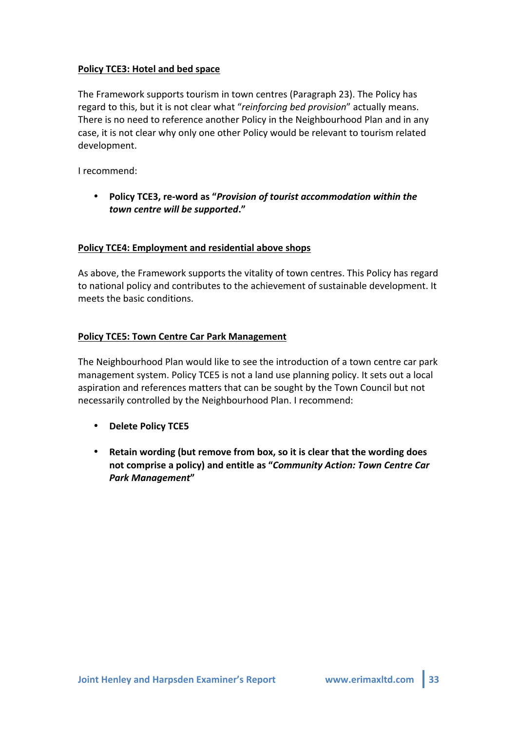## Policy TCE3: Hotel and bed space

The Framework supports tourism in town centres (Paragraph 23). The Policy has regard to this, but it is not clear what "*reinforcing bed provision*" actually means. There is no need to reference another Policy in the Neighbourhood Plan and in any case, it is not clear why only one other Policy would be relevant to tourism related development.

I recommend:

**Policy TCE3, re-word as "Provision of tourist accommodation within the** *town)centre)will)be)supported***."**

#### **Policy TCE4: Employment and residential above shops**

As above, the Framework supports the vitality of town centres. This Policy has regard to national policy and contributes to the achievement of sustainable development. It meets the basic conditions.

#### **Policy TCE5: Town Centre Car Park Management**

The Neighbourhood Plan would like to see the introduction of a town centre car park management system. Policy TCE5 is not a land use planning policy. It sets out a local aspiration and references matters that can be sought by the Town Council but not necessarily controlled by the Neighbourhood Plan. I recommend:

- **Delete Policy&TCE5**
- Retain wording (but remove from box, so it is clear that the wording does **not&comprise&a&policy)&and&entitle&as&"***Community)Action:)Town)Centre)Car) Park)Management***"**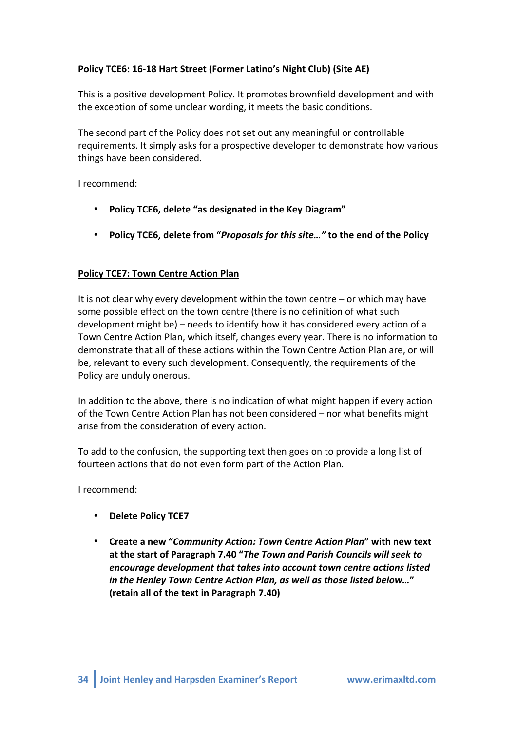# Policy TCE6: 16-18 Hart Street (Former Latino's Night Club) (Site AE)

This is a positive development Policy. It promotes brownfield development and with the exception of some unclear wording, it meets the basic conditions.

The second part of the Policy does not set out any meaningful or controllable requirements. It simply asks for a prospective developer to demonstrate how various things have been considered.

I recommend:

- Policy TCE6, delete "as designated in the Key Diagram"
- Policy TCE6, delete from "*Proposals for this site..."* to the end of the Policy

## **Policy TCE7: Town Centre Action Plan**

It is not clear why every development within the town centre  $-$  or which may have some possible effect on the town centre (there is no definition of what such development might be) – needs to identify how it has considered every action of a Town Centre Action Plan, which itself, changes every year. There is no information to demonstrate that all of these actions within the Town Centre Action Plan are, or will be, relevant to every such development. Consequently, the requirements of the Policy are unduly onerous.

In addition to the above, there is no indication of what might happen if every action of the Town Centre Action Plan has not been considered – nor what benefits might arise from the consideration of every action.

To add to the confusion, the supporting text then goes on to provide a long list of fourteen actions that do not even form part of the Action Plan.

I recommend:

- **Delete Policy TCE7**
- Create a new "Community Action: Town Centre Action Plan" with new text at the start of Paragraph 7.40 "The Town and Parish Councils will seek to encourage development that takes *into account town centre actions listed in)the)Henley)Town)Centre)Action)Plan,)as)well)as)those)listed)below…***"&** (retain all of the text in Paragraph 7.40)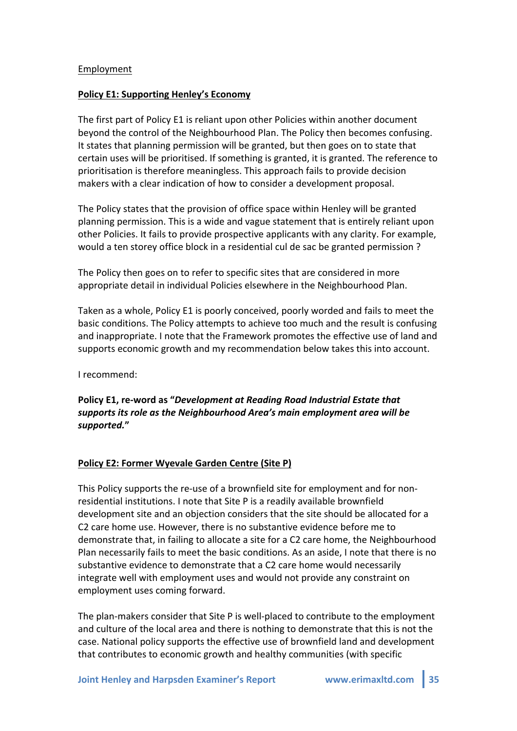#### Employment

#### **Policy E1: Supporting Henley's Economy**

The first part of Policy E1 is reliant upon other Policies within another document beyond the control of the Neighbourhood Plan. The Policy then becomes confusing. It states that planning permission will be granted, but then goes on to state that certain uses will be prioritised. If something is granted, it is granted. The reference to prioritisation is therefore meaningless. This approach fails to provide decision makers with a clear indication of how to consider a development proposal.

The Policy states that the provision of office space within Henley will be granted planning permission. This is a wide and vague statement that is entirely reliant upon other Policies. It fails to provide prospective applicants with any clarity. For example, would a ten storey office block in a residential cul de sac be granted permission ?

The Policy then goes on to refer to specific sites that are considered in more appropriate detail in individual Policies elsewhere in the Neighbourhood Plan.

Taken as a whole, Policy E1 is poorly conceived, poorly worded and fails to meet the basic conditions. The Policy attempts to achieve too much and the result is confusing and inappropriate. I note that the Framework promotes the effective use of land and supports economic growth and my recommendation below takes this into account.

I recommend:

## Policy E1, re-word as "*Development at Reading Road Industrial Estate that* supports its role as the Neighbourhood Area's main employment area will be *supported.***"&**

#### Policy E2: Former Wyevale Garden Centre (Site P)

This Policy supports the re-use of a brownfield site for employment and for nonresidential institutions. I note that Site P is a readily available brownfield development site and an objection considers that the site should be allocated for a C2 care home use. However, there is no substantive evidence before me to demonstrate that, in failing to allocate a site for a C2 care home, the Neighbourhood Plan necessarily fails to meet the basic conditions. As an aside, I note that there is no substantive evidence to demonstrate that a C2 care home would necessarily integrate well with employment uses and would not provide any constraint on employment uses coming forward.

The plan-makers consider that Site P is well-placed to contribute to the employment and culture of the local area and there is nothing to demonstrate that this is not the case. National policy supports the effective use of brownfield land and development that contributes to economic growth and healthy communities (with specific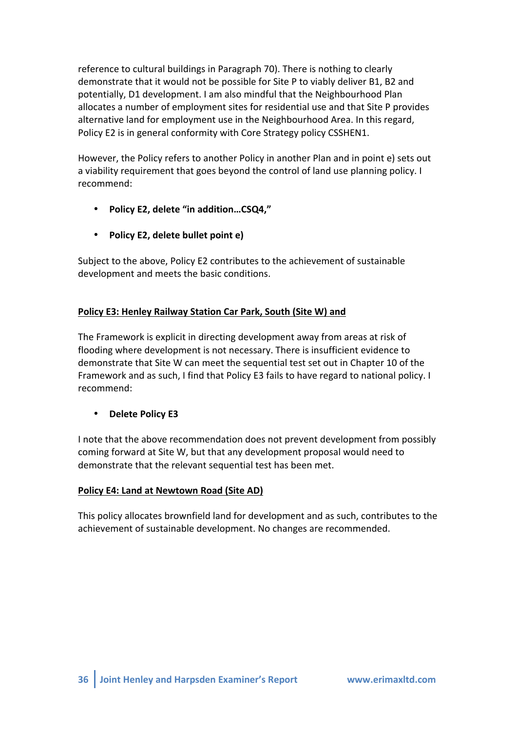reference to cultural buildings in Paragraph 70). There is nothing to clearly demonstrate that it would not be possible for Site P to viably deliver B1, B2 and potentially, D1 development. I am also mindful that the Neighbourhood Plan allocates a number of employment sites for residential use and that Site P provides alternative land for employment use in the Neighbourhood Area. In this regard, Policy E2 is in general conformity with Core Strategy policy CSSHEN1.

However, the Policy refers to another Policy in another Plan and in point e) sets out a viability requirement that goes beyond the control of land use planning policy. I recommend:

- \* Policy E2, delete "in addition...CSQ4,"
- **Policy E2, delete bullet point e)**

Subject to the above, Policy E2 contributes to the achievement of sustainable development and meets the basic conditions.

# Policy E3: Henley Railway Station Car Park, South (Site W) and

The Framework is explicit in directing development away from areas at risk of flooding where development is not necessary. There is insufficient evidence to demonstrate that Site W can meet the sequential test set out in Chapter 10 of the Framework and as such, I find that Policy E3 fails to have regard to national policy. I recommend:

# **Delete Policy E3**

I note that the above recommendation does not prevent development from possibly coming forward at Site W, but that any development proposal would need to demonstrate that the relevant sequential test has been met.

## **Policy E4: Land at Newtown Road (Site AD)**

This policy allocates brownfield land for development and as such, contributes to the achievement of sustainable development. No changes are recommended.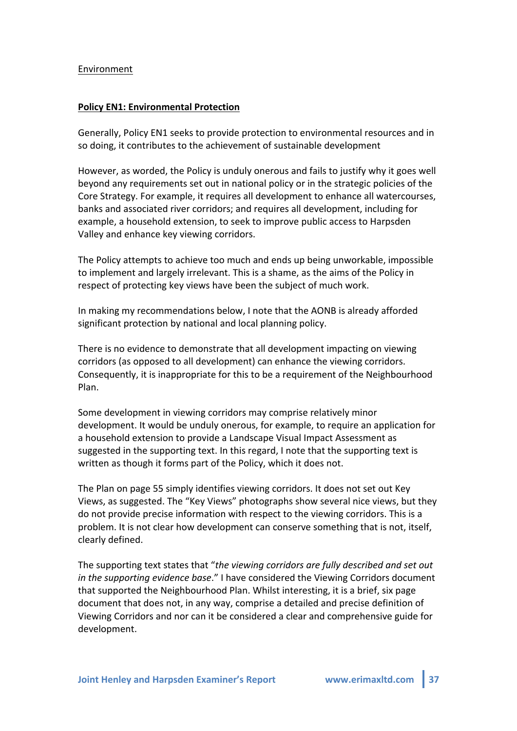#### Environment

#### **Policy EN1: Environmental Protection**

Generally, Policy EN1 seeks to provide protection to environmental resources and in so doing, it contributes to the achievement of sustainable development

However, as worded, the Policy is unduly onerous and fails to justify why it goes well beyond any requirements set out in national policy or in the strategic policies of the Core Strategy. For example, it requires all development to enhance all watercourses, banks and associated river corridors; and requires all development, including for example, a household extension, to seek to improve public access to Harpsden Valley and enhance key viewing corridors.

The Policy attempts to achieve too much and ends up being unworkable, impossible to implement and largely irrelevant. This is a shame, as the aims of the Policy in respect of protecting key views have been the subject of much work.

In making my recommendations below, I note that the AONB is already afforded significant protection by national and local planning policy.

There is no evidence to demonstrate that all development impacting on viewing corridors (as opposed to all development) can enhance the viewing corridors. Consequently, it is inappropriate for this to be a requirement of the Neighbourhood Plan.!

Some development in viewing corridors may comprise relatively minor development. It would be unduly onerous, for example, to require an application for a household extension to provide a Landscape Visual Impact Assessment as suggested in the supporting text. In this regard, I note that the supporting text is written as though it forms part of the Policy, which it does not.

The Plan on page 55 simply identifies viewing corridors. It does not set out Key Views, as suggested. The "Key Views" photographs show several nice views, but they do not provide precise information with respect to the viewing corridors. This is a problem. It is not clear how development can conserve something that is not, itself, clearly defined.

The supporting text states that "the viewing corridors are fully described and set out *in the supporting evidence base.*" I have considered the Viewing Corridors document that supported the Neighbourhood Plan. Whilst interesting, it is a brief, six page document that does not, in any way, comprise a detailed and precise definition of Viewing Corridors and nor can it be considered a clear and comprehensive guide for development.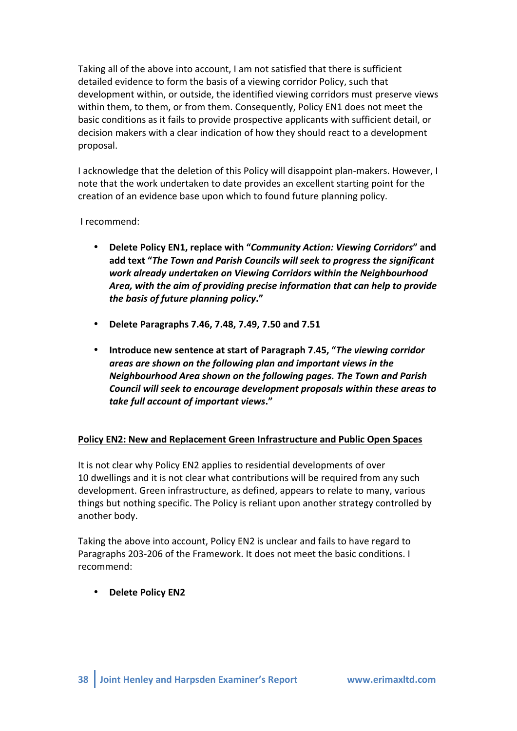Taking all of the above into account, I am not satisfied that there is sufficient detailed evidence to form the basis of a viewing corridor Policy, such that development within, or outside, the identified viewing corridors must preserve views within them, to them, or from them. Consequently, Policy EN1 does not meet the basic conditions as it fails to provide prospective applicants with sufficient detail, or decision makers with a clear indication of how they should react to a development proposal.

I acknowledge that the deletion of this Policy will disappoint plan-makers. However, I note that the work undertaken to date provides an excellent starting point for the creation of an evidence base upon which to found future planning policy.

I recommend:

- Delete Policy EN1, replace with "*Community Action: Viewing Corridors*" and add text "The Town and Parish Councils will seek to progress the significant work already undertaken on Viewing Corridors within the Neighbourhood Area, with the aim of providing precise information that can help to provide *the)basis)of)future)planning)policy***."**
- Delete Paragraphs 7.46, 7.48, 7.49, 7.50 and 7.51
- Introduce new sentence at start of Paragraph 7.45, "The viewing corridor areas are shown on the following plan and important views in the *Neighbourhood)Area)shown)on)the)following)pages.)The)Town)and)Parish)* Council will seek to encourage development proposals within these areas to *take)full)account)of)important)views***."**

## Policy EN2: New and Replacement Green Infrastructure and Public Open Spaces

It is not clear why Policy EN2 applies to residential developments of over 10 dwellings and it is not clear what contributions will be required from any such development. Green infrastructure, as defined, appears to relate to many, various things but nothing specific. The Policy is reliant upon another strategy controlled by another body.

Taking the above into account, Policy EN2 is unclear and fails to have regard to Paragraphs 203-206 of the Framework. It does not meet the basic conditions. I recommend:

• **Delete Policy EN2**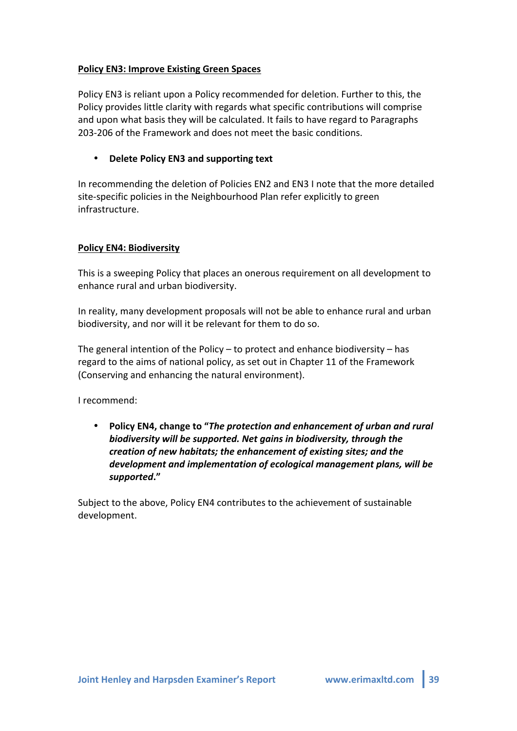## **Policy EN3: Improve Existing Green Spaces**

Policy EN3 is reliant upon a Policy recommended for deletion. Further to this, the Policy provides little clarity with regards what specific contributions will comprise and upon what basis they will be calculated. It fails to have regard to Paragraphs 203-206 of the Framework and does not meet the basic conditions.

#### **Delete Policy EN3 and supporting text**

In recommending the deletion of Policies EN2 and EN3 I note that the more detailed site-specific policies in the Neighbourhood Plan refer explicitly to green infrastructure.

#### **Policy EN4: Biodiversity**

This is a sweeping Policy that places an onerous requirement on all development to enhance rural and urban biodiversity.

In reality, many development proposals will not be able to enhance rural and urban biodiversity, and nor will it be relevant for them to do so.

The general intention of the Policy – to protect and enhance biodiversity – has regard to the aims of national policy, as set out in Chapter 11 of the Framework (Conserving and enhancing the natural environment).

I recommend:

• **Policy EN4, change to "The protection and enhancement of urban and rural** biodiversity will be supported. Net gains in biodiversity, through the *creation of new habitats; the enhancement of existing sites; and the* development and implementation of ecological management plans, will be *supported***."**

Subject to the above, Policy EN4 contributes to the achievement of sustainable development.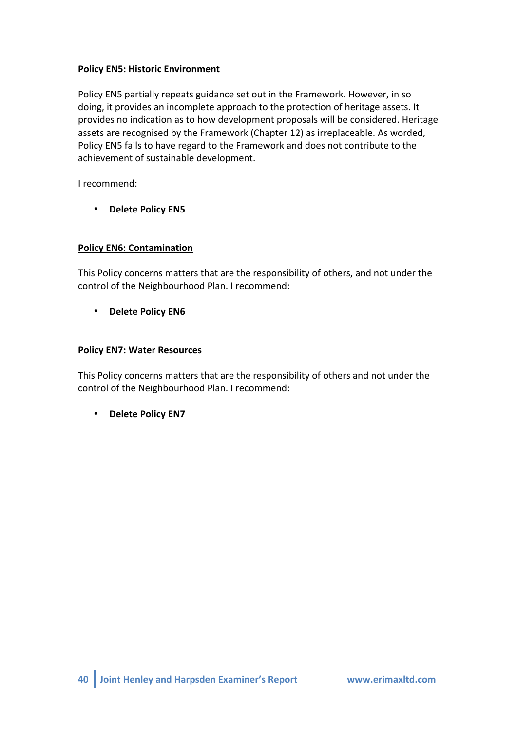## **Policy EN5: Historic Environment**

Policy EN5 partially repeats guidance set out in the Framework. However, in so doing, it provides an incomplete approach to the protection of heritage assets. It provides no indication as to how development proposals will be considered. Heritage assets are recognised by the Framework (Chapter 12) as irreplaceable. As worded, Policy EN5 fails to have regard to the Framework and does not contribute to the achievement of sustainable development.

I recommend:

• **Delete Policy EN5** 

## **Policy EN6: Contamination**

This Policy concerns matters that are the responsibility of others, and not under the control of the Neighbourhood Plan. I recommend:

• **Delete Policy EN6** 

#### **Policy EN7: Water Resources**

This Policy concerns matters that are the responsibility of others and not under the control of the Neighbourhood Plan. I recommend:

• **Delete Policy EN7**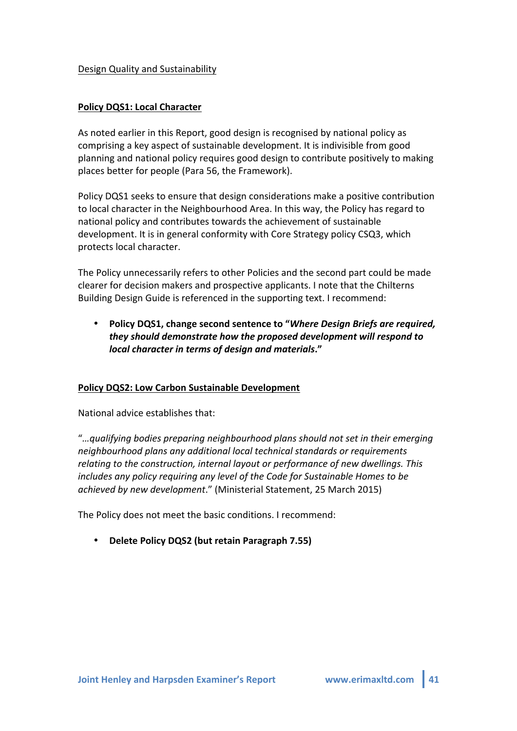#### Design Quality and Sustainability

#### **Policy DQS1: Local Character**

As noted earlier in this Report, good design is recognised by national policy as comprising a key aspect of sustainable development. It is indivisible from good planning and national policy requires good design to contribute positively to making places better for people (Para 56, the Framework).

Policy DQS1 seeks to ensure that design considerations make a positive contribution to local character in the Neighbourhood Area. In this way, the Policy has regard to national policy and contributes towards the achievement of sustainable development. It is in general conformity with Core Strategy policy CSQ3, which protects local character.

The Policy unnecessarily refers to other Policies and the second part could be made clearer for decision makers and prospective applicants. I note that the Chilterns Building Design Guide is referenced in the supporting text. I recommend:

**Policy DQS1, change second sentence to "***Where Design Briefs are required,* they should demonstrate how the proposed development will respond to *local character in terms of design and materials."* 

#### **Policy DQS2: Low Carbon Sustainable Development**

National advice establishes that:

"*…qualifying+bodies+preparing+neighbourhood+plans+should+not+set+in+their+emerging+ neighbourhood+plans+any+additional+local+technical+standards+or+requirements+* relating to the construction, internal layout or performance of new dwellings. This *includes any policy requiring any level of the Code for Sustainable Homes to be achieved by new development."* (Ministerial Statement, 25 March 2015)

The Policy does not meet the basic conditions. I recommend:

• Delete Policy DQS2 (but retain Paragraph 7.55)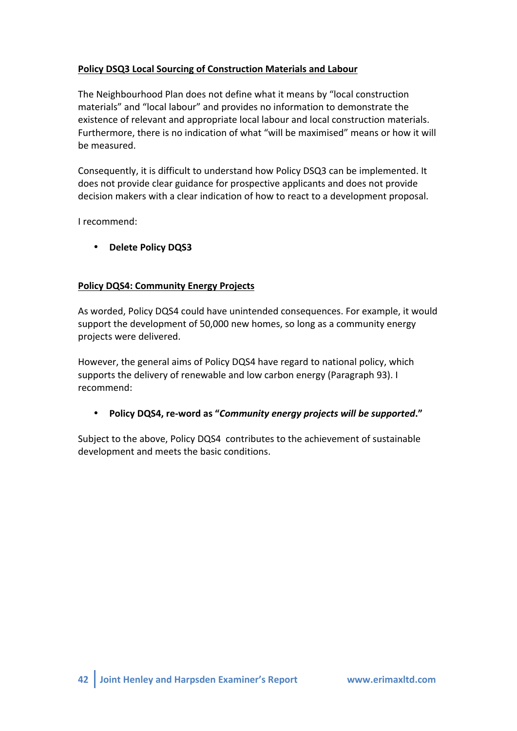# Policy DSQ3 Local Sourcing of Construction Materials and Labour

The Neighbourhood Plan does not define what it means by "local construction materials" and "local labour" and provides no information to demonstrate the existence of relevant and appropriate local labour and local construction materials. Furthermore, there is no indication of what "will be maximised" means or how it will be measured.

Consequently, it is difficult to understand how Policy DSQ3 can be implemented. It does not provide clear guidance for prospective applicants and does not provide decision makers with a clear indication of how to react to a development proposal.

I recommend:

• **Delete Policy DQS3** 

## **Policy DQS4: Community Energy Projects**

As worded, Policy DQS4 could have unintended consequences. For example, it would support the development of 50,000 new homes, so long as a community energy projects were delivered.

However, the general aims of Policy DQS4 have regard to national policy, which supports the delivery of renewable and low carbon energy (Paragraph 93). I recommend:

## • **Policy DQS4, re-word as "Community energy projects will be supported."**

Subject to the above, Policy DQS4 contributes to the achievement of sustainable development and meets the basic conditions.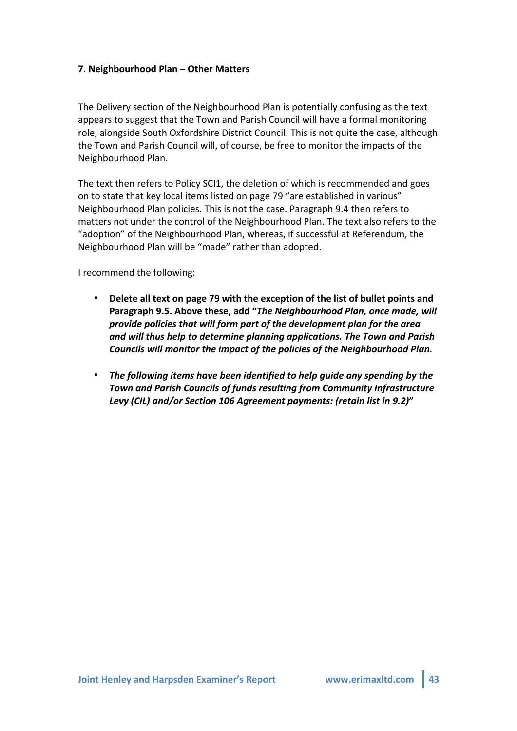#### **7. Neighbourhood Plan – Other Matters**

The Delivery section of the Neighbourhood Plan is potentially confusing as the text appears to suggest that the Town and Parish Council will have a formal monitoring role, alongside South Oxfordshire District Council. This is not quite the case, although the Town and Parish Council will, of course, be free to monitor the impacts of the Neighbourhood Plan.

The text then refers to Policy SCI1, the deletion of which is recommended and goes on to state that key local items listed on page 79 "are established in various" Neighbourhood Plan policies. This is not the case. Paragraph 9.4 then refers to matters not under the control of the Neighbourhood Plan. The text also refers to the "adoption" of the Neighbourhood Plan, whereas, if successful at Referendum, the Neighbourhood Plan will be "made" rather than adopted.

I recommend the following:

- Delete all text on page 79 with the exception of the list of bullet points and Paragraph 9.5. Above these, add "*The Neighbourhood Plan, once made, will provide)policies)that)will)form)part)of)the)development)plan)for)the)area)* and will thus help to determine planning applications. The Town and Parish Councils will monitor the impact of the policies of the Neighbourhood Plan.
- The following items have been identified to help quide any spending by the **Town and Parish Councils of funds resulting from Community Infrastructure** *Levy)(CIL))and/or)Section)106)Agreement)payments:)(retain)list in)9.2)***"**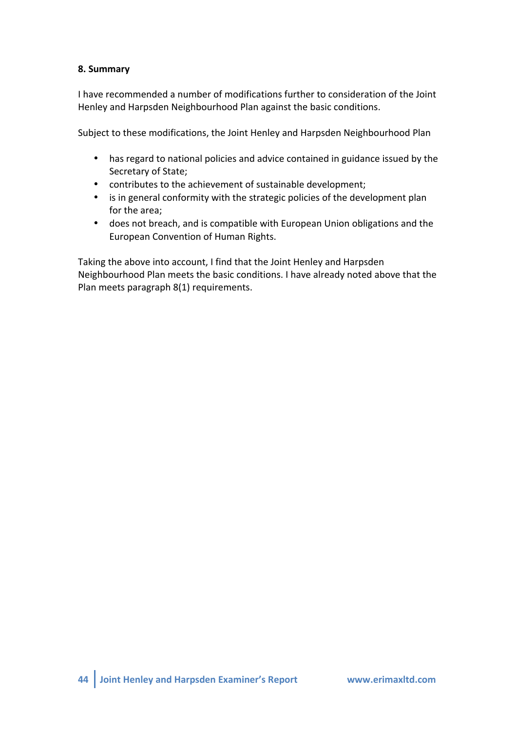## **8. Summary**

I have recommended a number of modifications further to consideration of the Joint Henley and Harpsden Neighbourhood Plan against the basic conditions.

Subject to these modifications, the Joint Henley and Harpsden Neighbourhood Plan

- has regard to national policies and advice contained in guidance issued by the Secretary of State;
- contributes to the achievement of sustainable development;
- is in general conformity with the strategic policies of the development plan for the area;
- does not breach, and is compatible with European Union obligations and the European Convention of Human Rights.

Taking the above into account, I find that the Joint Henley and Harpsden Neighbourhood Plan meets the basic conditions. I have already noted above that the Plan meets paragraph 8(1) requirements.